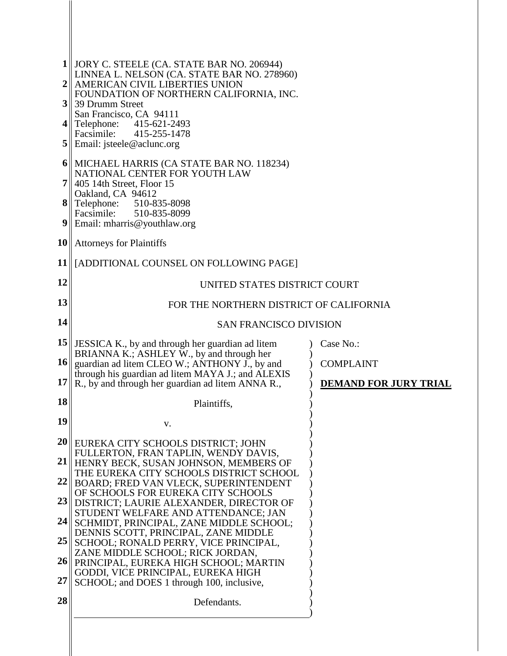| $1$              | JORY C. STEELE (CA. STATE BAR NO. 206944)                                                              |                              |
|------------------|--------------------------------------------------------------------------------------------------------|------------------------------|
| 2 <sup>1</sup>   | LINNEA L. NELSON (CA. STATE BAR NO. 278960)<br>AMERICAN CIVIL LIBERTIES UNION                          |                              |
| 3 <sup>  </sup>  | FOUNDATION OF NORTHERN CALIFORNIA, INC.<br>39 Drumm Street                                             |                              |
| 4 II             | San Francisco, CA 94111<br>Telephone: 415-621-2493                                                     |                              |
| 5 <sup>1</sup>   | Facsimile: 415-255-1478<br>Email: jsteele@aclunc.org                                                   |                              |
|                  | 6 MICHAEL HARRIS (CA STATE BAR NO. 118234)                                                             |                              |
|                  | NATIONAL CENTER FOR YOUTH LAW<br>405 14th Street, Floor 15                                             |                              |
|                  | Oakland, CA 94612<br><b>8</b> Telephone: $510-835-8098$                                                |                              |
| 9 <sub>  </sub>  | Facsimile:<br>510-835-8099<br>Email: mharris@youthlaw.org                                              |                              |
|                  | $10$   Attorneys for Plaintiffs                                                                        |                              |
| 11               | [ADDITIONAL COUNSEL ON FOLLOWING PAGE]                                                                 |                              |
| 12               | UNITED STATES DISTRICT COURT                                                                           |                              |
| 13               | FOR THE NORTHERN DISTRICT OF CALIFORNIA                                                                |                              |
| 14               | <b>SAN FRANCISCO DIVISION</b>                                                                          |                              |
| 15               | JESSICA K., by and through her guardian ad litem<br>BRIANNA K.; ASHLEY W., by and through her          | Case No.:                    |
| 16               | guardian ad litem CLEO W.; ANTHONY J., by and                                                          | <b>COMPLAINT</b>             |
| 17 <sup>  </sup> | through his guardian ad litem MAYA J.; and ALEXIS<br>R., by and through her guardian ad litem ANNA R., | <b>DEMAND FOR JURY TRIAL</b> |
| 18               | Plaintiffs,                                                                                            |                              |
| 19               | V.                                                                                                     |                              |
|                  | 20 EUREKA CITY SCHOOLS DISTRICT; JOHN<br>FULLERTON, FRAN TAPLIN, WENDY DAVIS,                          |                              |
| 21               | HENRY BECK, SUSAN JOHNSON, MEMBERS OF<br>THE EUREKA CITY SCHOOLS DISTRICT SCHOOL                       |                              |
| 22               | BOARD; FRED VAN VLECK, SUPERINTENDENT                                                                  |                              |
| 23               | OF SCHOOLS FOR EUREKA CITY SCHOOLS<br>DISTRICT; LAURIE ALEXANDER, DIRECTOR OF                          |                              |
| 24               | STUDENT WELFARE AND ATTENDANCE; JAN<br>SCHMIDT, PRINCIPAL, ZANE MIDDLE SCHOOL;                         |                              |
| 25               | DENNIS SCOTT, PRINCIPAL, ZANE MIDDLE<br>SCHOOL; RONALD PERRY, VICE PRINCIPAL,                          |                              |
| 26               | ZANE MIDDLE SCHOOL; RICK JORDAN,<br>PRINCIPAL, EUREKA HIGH SCHOOL; MARTIN                              |                              |
| 27               | GODDI, VICE PRINCIPAL, EUREKA HIGH<br>SCHOOL; and DOES 1 through 100, inclusive,                       |                              |
| 28               | Defendants.                                                                                            |                              |
|                  |                                                                                                        |                              |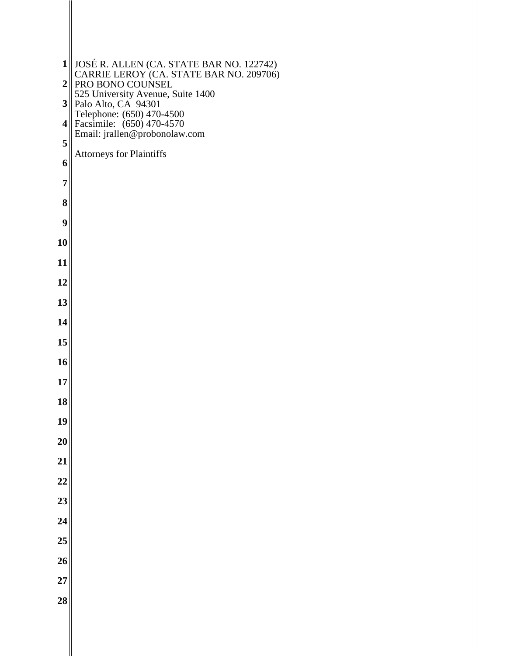| $\mathbf{1}$     |                                                                                                         |
|------------------|---------------------------------------------------------------------------------------------------------|
| $\boldsymbol{2}$ | JOSÉ R. ALLEN (CA. STATE BAR NO. 122742)<br>CARRIE LEROY (CA. STATE BAR NO. 209706)<br>PRO BONO COUNSEL |
| 3 <sup>1</sup>   | 525 University Avenue, Suite 1400<br>Palo Alto, CA 94301                                                |
| 4                | Telephone: (650) 470-4500<br>Facsimile: (650) 470-4570<br>Email: jrallen@probonolaw.com                 |
| 5                | <b>Attorneys for Plaintiffs</b>                                                                         |
| 6                |                                                                                                         |
| 7                |                                                                                                         |
| 8                |                                                                                                         |
| 9                |                                                                                                         |
| 10               |                                                                                                         |
| 11               |                                                                                                         |
| 12               |                                                                                                         |
| 13               |                                                                                                         |
| 14               |                                                                                                         |
| 15               |                                                                                                         |
| 16               |                                                                                                         |
| 17               |                                                                                                         |
| 18               |                                                                                                         |
| 19               |                                                                                                         |
| <b>20</b><br>21  |                                                                                                         |
| $\overline{22}$  |                                                                                                         |
| $\overline{23}$  |                                                                                                         |
| $\overline{24}$  |                                                                                                         |
| 25               |                                                                                                         |
| 26               |                                                                                                         |
| 27               |                                                                                                         |
| $\overline{28}$  |                                                                                                         |
|                  |                                                                                                         |
|                  |                                                                                                         |

∥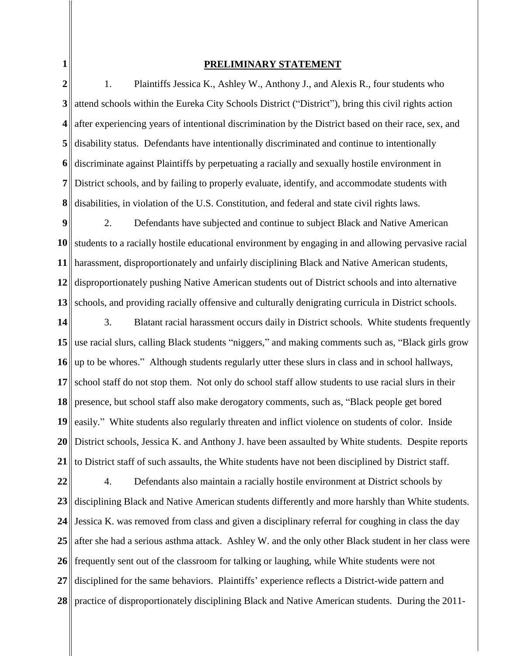**1**

### **PRELIMINARY STATEMENT**

**2 3 4 5 6 7 8** 1. Plaintiffs Jessica K., Ashley W., Anthony J., and Alexis R., four students who attend schools within the Eureka City Schools District ("District"), bring this civil rights action after experiencing years of intentional discrimination by the District based on their race, sex, and disability status. Defendants have intentionally discriminated and continue to intentionally discriminate against Plaintiffs by perpetuating a racially and sexually hostile environment in District schools, and by failing to properly evaluate, identify, and accommodate students with disabilities, in violation of the U.S. Constitution, and federal and state civil rights laws.

**9 10 11 12 13** 2. Defendants have subjected and continue to subject Black and Native American students to a racially hostile educational environment by engaging in and allowing pervasive racial harassment, disproportionately and unfairly disciplining Black and Native American students, disproportionately pushing Native American students out of District schools and into alternative schools, and providing racially offensive and culturally denigrating curricula in District schools.

**14 15 16 17 18 19 20 21** 3. Blatant racial harassment occurs daily in District schools. White students frequently use racial slurs, calling Black students "niggers," and making comments such as, "Black girls grow up to be whores." Although students regularly utter these slurs in class and in school hallways, school staff do not stop them. Not only do school staff allow students to use racial slurs in their presence, but school staff also make derogatory comments, such as, "Black people get bored easily." White students also regularly threaten and inflict violence on students of color. Inside District schools, Jessica K. and Anthony J. have been assaulted by White students. Despite reports to District staff of such assaults, the White students have not been disciplined by District staff.

**22 23 24 25 26 27 28**  4. Defendants also maintain a racially hostile environment at District schools by disciplining Black and Native American students differently and more harshly than White students. Jessica K. was removed from class and given a disciplinary referral for coughing in class the day after she had a serious asthma attack. Ashley W. and the only other Black student in her class were frequently sent out of the classroom for talking or laughing, while White students were not disciplined for the same behaviors. Plaintiffs' experience reflects a District-wide pattern and practice of disproportionately disciplining Black and Native American students. During the 2011-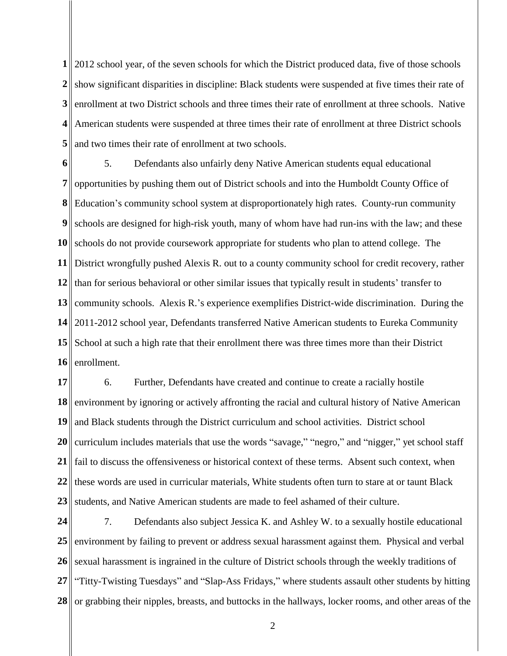**1** 2012 school year, of the seven schools for which the District produced data, five of those schools 2 show significant disparities in discipline: Black students were suspended at five times their rate of **3 4** American students were suspended at three times their rate of enrollment at three District schools **5** enrollment at two District schools and three times their rate of enrollment at three schools. Native and two times their rate of enrollment at two schools.

**6 7 8 9 10** schools do not provide coursework appropriate for students who plan to attend college. The **11** District wrongfully pushed Alexis R. out to a county community school for credit recovery, rather 12 than for serious behavioral or other similar issues that typically result in students' transfer to **13 14 15 16** 5. Defendants also unfairly deny Native American students equal educational opportunities by pushing them out of District schools and into the Humboldt County Office of Education's community school system at disproportionately high rates. County-run community schools are designed for high-risk youth, many of whom have had run-ins with the law; and these community schools. Alexis R.'s experience exemplifies District-wide discrimination. During the 2011-2012 school year, Defendants transferred Native American students to Eureka Community School at such a high rate that their enrollment there was three times more than their District enrollment.

**17 18 19 20 21 22 23** 6. Further, Defendants have created and continue to create a racially hostile environment by ignoring or actively affronting the racial and cultural history of Native American and Black students through the District curriculum and school activities. District school curriculum includes materials that use the words "savage," "negro," and "nigger," yet school staff fail to discuss the offensiveness or historical context of these terms. Absent such context, when these words are used in curricular materials, White students often turn to stare at or taunt Black students, and Native American students are made to feel ashamed of their culture.

**24 25 26 27 28**  7. Defendants also subject Jessica K. and Ashley W. to a sexually hostile educational environment by failing to prevent or address sexual harassment against them. Physical and verbal sexual harassment is ingrained in the culture of District schools through the weekly traditions of "Titty-Twisting Tuesdays" and "Slap-Ass Fridays," where students assault other students by hitting or grabbing their nipples, breasts, and buttocks in the hallways, locker rooms, and other areas of the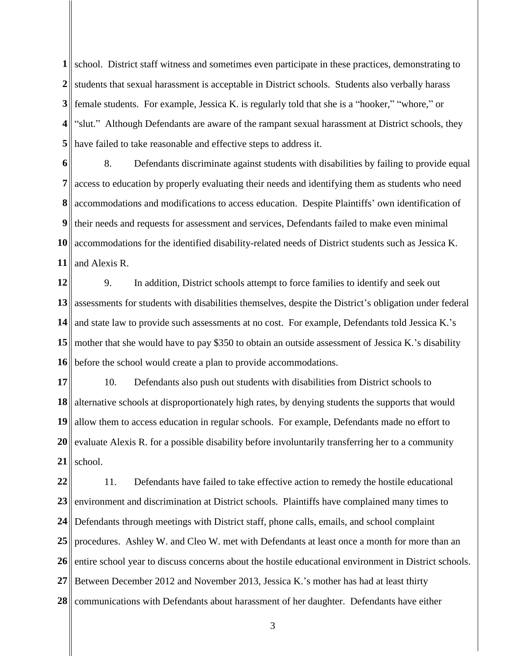**1** school. District staff witness and sometimes even participate in these practices, demonstrating to 2 students that sexual harassment is acceptable in District schools. Students also verbally harass **3** female students. For example, Jessica K. is regularly told that she is a "hooker," "whore," or **4 5** "slut." Although Defendants are aware of the rampant sexual harassment at District schools, they have failed to take reasonable and effective steps to address it.

**6 7 8 9 10** accommodations for the identified disability-related needs of District students such as Jessica K. **11** 8. Defendants discriminate against students with disabilities by failing to provide equal access to education by properly evaluating their needs and identifying them as students who need accommodations and modifications to access education. Despite Plaintiffs' own identification of their needs and requests for assessment and services, Defendants failed to make even minimal and Alexis R.

**12 13 14 15** mother that she would have to pay \$350 to obtain an outside assessment of Jessica K.'s disability **16** 9. In addition, District schools attempt to force families to identify and seek out assessments for students with disabilities themselves, despite the District's obligation under federal and state law to provide such assessments at no cost. For example, Defendants told Jessica K.'s before the school would create a plan to provide accommodations.

**17 18 19 20 21** 10. Defendants also push out students with disabilities from District schools to alternative schools at disproportionately high rates, by denying students the supports that would allow them to access education in regular schools. For example, Defendants made no effort to evaluate Alexis R. for a possible disability before involuntarily transferring her to a community school.

**22 23 24 25 26 27 28**  11. Defendants have failed to take effective action to remedy the hostile educational environment and discrimination at District schools. Plaintiffs have complained many times to Defendants through meetings with District staff, phone calls, emails, and school complaint procedures. Ashley W. and Cleo W. met with Defendants at least once a month for more than an entire school year to discuss concerns about the hostile educational environment in District schools. Between December 2012 and November 2013, Jessica K.'s mother has had at least thirty communications with Defendants about harassment of her daughter. Defendants have either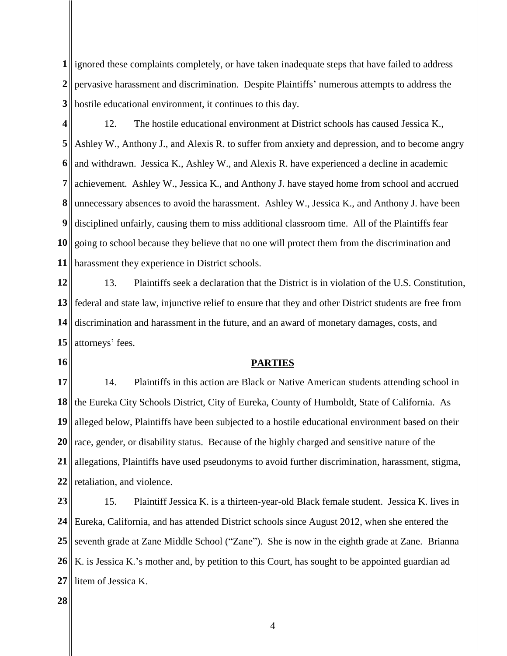**1** ignored these complaints completely, or have taken inadequate steps that have failed to address 2<sup>|</sup>| pervasive harassment and discrimination. Despite Plaintiffs' numerous attempts to address the **3** hostile educational environment, it continues to this day.

**4 5 6 7 8 9 10 11** 12. The hostile educational environment at District schools has caused Jessica K., Ashley W., Anthony J., and Alexis R. to suffer from anxiety and depression, and to become angry and withdrawn. Jessica K., Ashley W., and Alexis R. have experienced a decline in academic achievement. Ashley W., Jessica K., and Anthony J. have stayed home from school and accrued unnecessary absences to avoid the harassment. Ashley W., Jessica K., and Anthony J. have been disciplined unfairly, causing them to miss additional classroom time. All of the Plaintiffs fear going to school because they believe that no one will protect them from the discrimination and harassment they experience in District schools.

**12 13** federal and state law, injunctive relief to ensure that they and other District students are free from **14 15** attorneys' fees. 13. Plaintiffs seek a declaration that the District is in violation of the U.S. Constitution, discrimination and harassment in the future, and an award of monetary damages, costs, and

**16**

## **PARTIES**

**17 18 19 20 21 22** 14. Plaintiffs in this action are Black or Native American students attending school in the Eureka City Schools District, City of Eureka, County of Humboldt, State of California. As alleged below, Plaintiffs have been subjected to a hostile educational environment based on their race, gender, or disability status. Because of the highly charged and sensitive nature of the allegations, Plaintiffs have used pseudonyms to avoid further discrimination, harassment, stigma, retaliation, and violence.

**23 24 25** 26 K. is Jessica K.'s mother and, by petition to this Court, has sought to be appointed guardian ad **27** 15. Plaintiff Jessica K. is a thirteen-year-old Black female student. Jessica K. lives in Eureka, California, and has attended District schools since August 2012, when she entered the seventh grade at Zane Middle School ("Zane"). She is now in the eighth grade at Zane. Brianna litem of Jessica K.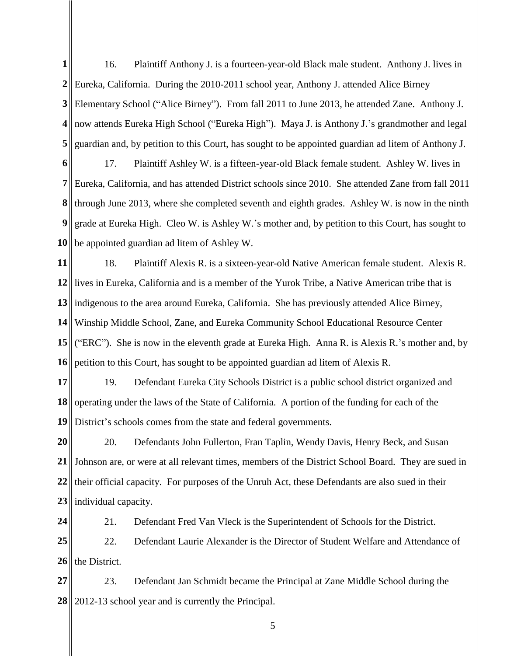**1 2** Eureka, California. During the 2010-2011 school year, Anthony J. attended Alice Birney **3 4** now attends Eureka High School ("Eureka High"). Maya J. is Anthony J.'s grandmother and legal **5** 16. Plaintiff Anthony J. is a fourteen-year-old Black male student. Anthony J. lives in Elementary School ("Alice Birney"). From fall 2011 to June 2013, he attended Zane. Anthony J. guardian and, by petition to this Court, has sought to be appointed guardian ad litem of Anthony J.

**6 7 8 9 10** 17. Plaintiff Ashley W. is a fifteen-year-old Black female student. Ashley W. lives in Eureka, California, and has attended District schools since 2010. She attended Zane from fall 2011 through June 2013, where she completed seventh and eighth grades. Ashley W. is now in the ninth grade at Eureka High. Cleo W. is Ashley W.'s mother and, by petition to this Court, has sought to be appointed guardian ad litem of Ashley W.

**11 12** lives in Eureka, California and is a member of the Yurok Tribe, a Native American tribe that is **13** indigenous to the area around Eureka, California. She has previously attended Alice Birney, **14 15 16** 18. Plaintiff Alexis R. is a sixteen-year-old Native American female student. Alexis R. Winship Middle School, Zane, and Eureka Community School Educational Resource Center ("ERC"). She is now in the eleventh grade at Eureka High. Anna R. is Alexis R.'s mother and, by petition to this Court, has sought to be appointed guardian ad litem of Alexis R.

**17 18 19** 19. Defendant Eureka City Schools District is a public school district organized and operating under the laws of the State of California. A portion of the funding for each of the District's schools comes from the state and federal governments.

**20 21 22 23** 20. Defendants John Fullerton, Fran Taplin, Wendy Davis, Henry Beck, and Susan Johnson are, or were at all relevant times, members of the District School Board. They are sued in their official capacity. For purposes of the Unruh Act, these Defendants are also sued in their individual capacity.

**24 25 26** 21. Defendant Fred Van Vleck is the Superintendent of Schools for the District. 22. Defendant Laurie Alexander is the Director of Student Welfare and Attendance of the District.

**27 28**  2012-13 school year and is currently the Principal.23. Defendant Jan Schmidt became the Principal at Zane Middle School during the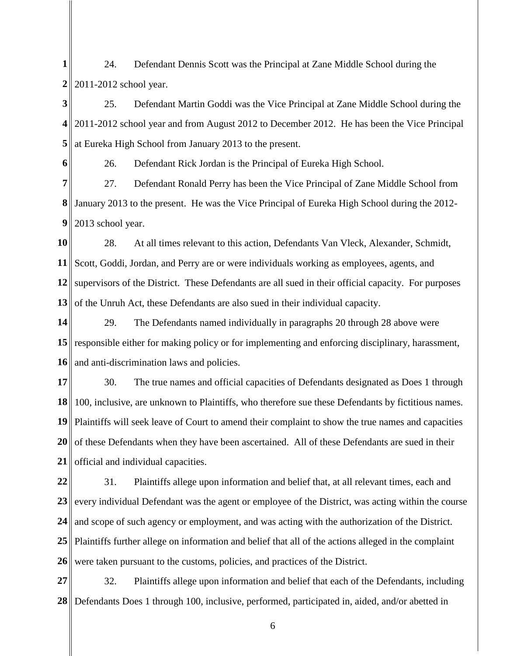**1 2** 24. Defendant Dennis Scott was the Principal at Zane Middle School during the 2011-2012 school year.

**3 4 5** 25. Defendant Martin Goddi was the Vice Principal at Zane Middle School during the 2011-2012 school year and from August 2012 to December 2012. He has been the Vice Principal at Eureka High School from January 2013 to the present.

**6**

26. Defendant Rick Jordan is the Principal of Eureka High School.

**7 8** January 2013 to the present. He was the Vice Principal of Eureka High School during the 2012- **9** 27. Defendant Ronald Perry has been the Vice Principal of Zane Middle School from 2013 school year.

**10 11 12** supervisors of the District. These Defendants are all sued in their official capacity. For purposes **13** 28. At all times relevant to this action, Defendants Van Vleck, Alexander, Schmidt, Scott, Goddi, Jordan, and Perry are or were individuals working as employees, agents, and of the Unruh Act, these Defendants are also sued in their individual capacity.

**14 15** responsible either for making policy or for implementing and enforcing disciplinary, harassment, **16** 29. The Defendants named individually in paragraphs 20 through 28 above were and anti-discrimination laws and policies.

**17 18 19 20 21** 30. The true names and official capacities of Defendants designated as Does 1 through || 100, inclusive, are unknown to Plaintiffs, who therefore sue these Defendants by fictitious names. Plaintiffs will seek leave of Court to amend their complaint to show the true names and capacities of these Defendants when they have been ascertained. All of these Defendants are sued in their official and individual capacities.

**22** 23 every individual Defendant was the agent or employee of the District, was acting within the course **24 25** Plaintiffs further allege on information and belief that all of the actions alleged in the complaint **26** 31. Plaintiffs allege upon information and belief that, at all relevant times, each and and scope of such agency or employment, and was acting with the authorization of the District. were taken pursuant to the customs, policies, and practices of the District.

**27 28**  Defendants Does 1 through 100, inclusive, performed, participated in, aided, and/or abetted in 32. Plaintiffs allege upon information and belief that each of the Defendants, including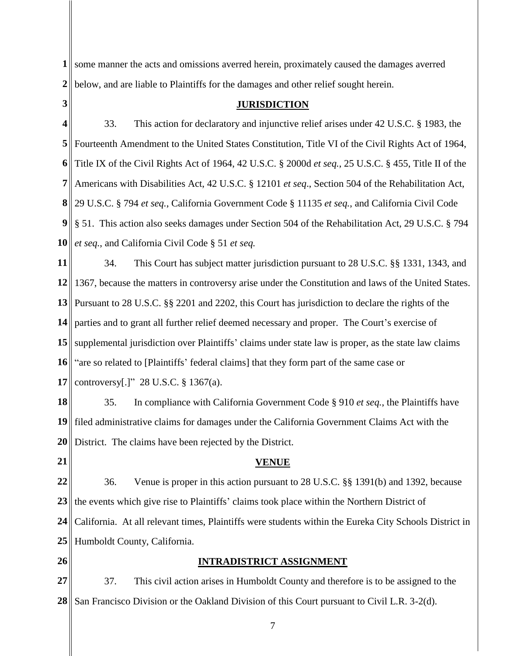**1** some manner the acts and omissions averred herein, proximately caused the damages averred **2** below, and are liable to Plaintiffs for the damages and other relief sought herein.

**3**

# **JURISDICTION**

**4 5** Fourteenth Amendment to the United States Constitution, Title VI of the Civil Rights Act of 1964, **6 7 8** 29 U.S.C. § 794 *et seq.*, California Government Code § 11135 *et seq.*, and California Civil Code **9** § 51. This action also seeks damages under Section 504 of the Rehabilitation Act, 29 U.S.C. § 794 **10** 33. This action for declaratory and injunctive relief arises under 42 U.S.C. § 1983, the Title IX of the Civil Rights Act of 1964, 42 U.S.C. § 2000d *et seq.*, 25 U.S.C. § 455, Title II of the Americans with Disabilities Act, 42 U.S.C. § 12101 *et seq*., Section 504 of the Rehabilitation Act, *et seq.*, and California Civil Code § 51 *et seq.*

**11 12** 1367, because the matters in controversy arise under the Constitution and laws of the United States. **13 14 15 16 17** 34. This Court has subject matter jurisdiction pursuant to 28 U.S.C. §§ 1331, 1343, and Pursuant to 28 U.S.C. §§ 2201 and 2202, this Court has jurisdiction to declare the rights of the parties and to grant all further relief deemed necessary and proper. The Court's exercise of supplemental jurisdiction over Plaintiffs' claims under state law is proper, as the state law claims "are so related to [Plaintiffs' federal claims] that they form part of the same case or controversy[.]" 28 U.S.C. § 1367(a).

**18 19 20** 35. In compliance with California Government Code § 910 *et seq.*, the Plaintiffs have filed administrative claims for damages under the California Government Claims Act with the District. The claims have been rejected by the District.

**21**

## **VENUE**

**22 23 24 25** 36. Venue is proper in this action pursuant to 28 U.S.C. §§ 1391(b) and 1392, because the events which give rise to Plaintiffs' claims took place within the Northern District of California. At all relevant times, Plaintiffs were students within the Eureka City Schools District in Humboldt County, California.

**26**

# **INTRADISTRICT ASSIGNMENT**

**27 28**  37. This civil action arises in Humboldt County and therefore is to be assigned to the San Francisco Division or the Oakland Division of this Court pursuant to Civil L.R. 3-2(d).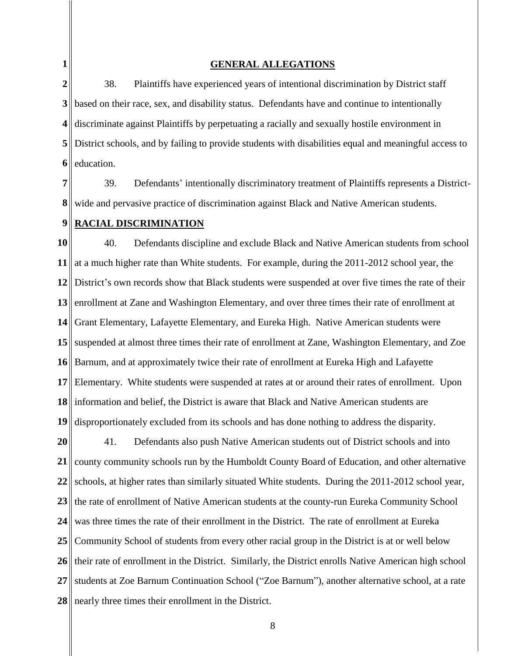**1**

### **GENERAL ALLEGATIONS**

**2 3 4 5 6** 38. Plaintiffs have experienced years of intentional discrimination by District staff based on their race, sex, and disability status. Defendants have and continue to intentionally discriminate against Plaintiffs by perpetuating a racially and sexually hostile environment in District schools, and by failing to provide students with disabilities equal and meaningful access to education.

**7 8** 39. Defendants' intentionally discriminatory treatment of Plaintiffs represents a Districtwide and pervasive practice of discrimination against Black and Native American students.

#### **9 RACIAL DISCRIMINATION**

**10 11 12 13 14 15 16 17 18** information and belief, the District is aware that Black and Native American students are **19** 40. Defendants discipline and exclude Black and Native American students from school at a much higher rate than White students. For example, during the 2011-2012 school year, the District's own records show that Black students were suspended at over five times the rate of their enrollment at Zane and Washington Elementary, and over three times their rate of enrollment at Grant Elementary, Lafayette Elementary, and Eureka High. Native American students were suspended at almost three times their rate of enrollment at Zane, Washington Elementary, and Zoe Barnum, and at approximately twice their rate of enrollment at Eureka High and Lafayette Elementary. White students were suspended at rates at or around their rates of enrollment. Upon disproportionately excluded from its schools and has done nothing to address the disparity.

**20 21 22 23 24 25 26 27 28**  41. Defendants also push Native American students out of District schools and into county community schools run by the Humboldt County Board of Education, and other alternative schools, at higher rates than similarly situated White students. During the 2011-2012 school year, the rate of enrollment of Native American students at the county-run Eureka Community School was three times the rate of their enrollment in the District. The rate of enrollment at Eureka Community School of students from every other racial group in the District is at or well below their rate of enrollment in the District. Similarly, the District enrolls Native American high school students at Zoe Barnum Continuation School ("Zoe Barnum"), another alternative school, at a rate nearly three times their enrollment in the District.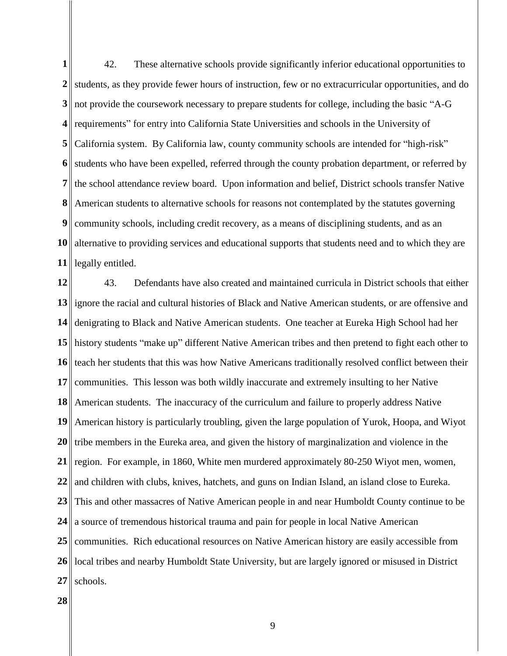**1** 2<sup> $\parallel$ </sup> students, as they provide fewer hours of instruction, few or no extracurricular opportunities, and do **3** not provide the coursework necessary to prepare students for college, including the basic "A-G" **4** requirements" for entry into California State Universities and schools in the University of **5 6 7 8 9 10** alternative to providing services and educational supports that students need and to which they are **11** legally entitled. 42. These alternative schools provide significantly inferior educational opportunities to California system. By California law, county community schools are intended for "high-risk" students who have been expelled, referred through the county probation department, or referred by the school attendance review board. Upon information and belief, District schools transfer Native American students to alternative schools for reasons not contemplated by the statutes governing community schools, including credit recovery, as a means of disciplining students, and as an

**12 13** ignore the racial and cultural histories of Black and Native American students, or are offensive and **14 15 16 17 18 19 20 21 22 23** 24 a source of tremendous historical trauma and pain for people in local Native American **25** 26 || local tribes and nearby Humboldt State University, but are largely ignored or misused in District **27** 43. Defendants have also created and maintained curricula in District schools that either denigrating to Black and Native American students. One teacher at Eureka High School had her history students "make up" different Native American tribes and then pretend to fight each other to teach her students that this was how Native Americans traditionally resolved conflict between their communities. This lesson was both wildly inaccurate and extremely insulting to her Native American students. The inaccuracy of the curriculum and failure to properly address Native American history is particularly troubling, given the large population of Yurok, Hoopa, and Wiyot tribe members in the Eureka area, and given the history of marginalization and violence in the region. For example, in 1860, White men murdered approximately 80-250 Wiyot men, women, and children with clubs, knives, hatchets, and guns on Indian Island, an island close to Eureka. This and other massacres of Native American people in and near Humboldt County continue to be communities. Rich educational resources on Native American history are easily accessible from schools.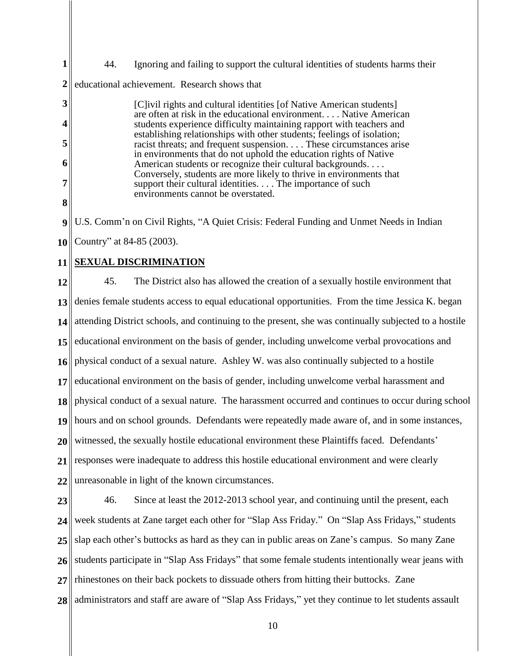**1 2** 44. Ignoring and failing to support the cultural identities of students harms their educational achievement. Research shows that

[C]ivil rights and cultural identities [of Native American students] are often at risk in the educational environment. . . . Native American students experience difficulty maintaining rapport with teachers and establishing relationships with other students; feelings of isolation; racist threats; and frequent suspension. . . . These circumstances arise in environments that do not uphold the education rights of Native American students or recognize their cultural backgrounds. . . . Conversely, students are more likely to thrive in environments that support their cultural identities. . . . The importance of such environments cannot be overstated.

**8**

**3**

**4**

**5**

**6**

**7** 

**9** U.S. Comm'n on Civil Rights, "A Quiet Crisis: Federal Funding and Unmet Needs in Indian

**10** Country" at 84-85 (2003).

### **11 SEXUAL DISCRIMINATION**

**12 13 14 15 16 17 18** physical conduct of a sexual nature. The harassment occurred and continues to occur during school **19 20 21 22** 45. The District also has allowed the creation of a sexually hostile environment that denies female students access to equal educational opportunities. From the time Jessica K. began attending District schools, and continuing to the present, she was continually subjected to a hostile educational environment on the basis of gender, including unwelcome verbal provocations and physical conduct of a sexual nature. Ashley W. was also continually subjected to a hostile educational environment on the basis of gender, including unwelcome verbal harassment and hours and on school grounds. Defendants were repeatedly made aware of, and in some instances, witnessed, the sexually hostile educational environment these Plaintiffs faced. Defendants' responses were inadequate to address this hostile educational environment and were clearly unreasonable in light of the known circumstances.

**23 24 25 26 27 28**  46. Since at least the 2012-2013 school year, and continuing until the present, each week students at Zane target each other for "Slap Ass Friday." On "Slap Ass Fridays," students slap each other's buttocks as hard as they can in public areas on Zane's campus. So many Zane students participate in "Slap Ass Fridays" that some female students intentionally wear jeans with rhinestones on their back pockets to dissuade others from hitting their buttocks. Zane administrators and staff are aware of "Slap Ass Fridays," yet they continue to let students assault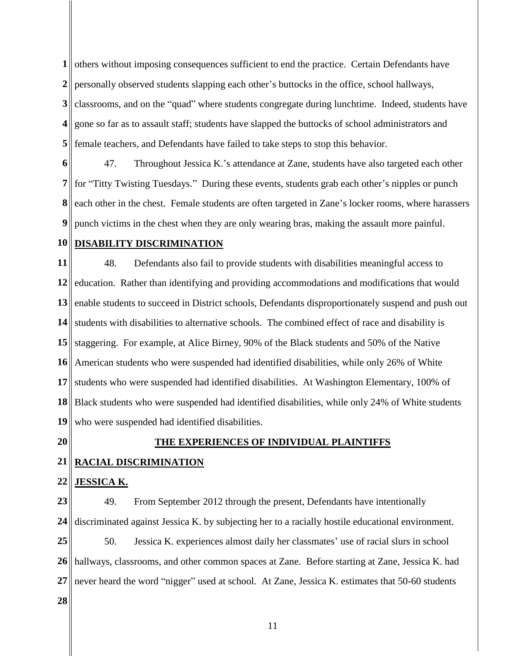**1** others without imposing consequences sufficient to end the practice. Certain Defendants have 2<sup>|</sup>| personally observed students slapping each other's buttocks in the office, school hallways, **3 4 5** classrooms, and on the "quad" where students congregate during lunchtime. Indeed, students have gone so far as to assault staff; students have slapped the buttocks of school administrators and female teachers, and Defendants have failed to take steps to stop this behavior.

**6 7 8 9** 47. Throughout Jessica K.'s attendance at Zane, students have also targeted each other for "Titty Twisting Tuesdays." During these events, students grab each other's nipples or punch each other in the chest. Female students are often targeted in Zane's locker rooms, where harassers punch victims in the chest when they are only wearing bras, making the assault more painful.

#### **10 DISABILITY DISCRIMINATION**

**11** 12 education. Rather than identifying and providing accommodations and modifications that would **13 14 15 16 17 18 19** 48. Defendants also fail to provide students with disabilities meaningful access to enable students to succeed in District schools, Defendants disproportionately suspend and push out students with disabilities to alternative schools. The combined effect of race and disability is staggering. For example, at Alice Birney, 90% of the Black students and 50% of the Native American students who were suspended had identified disabilities, while only 26% of White students who were suspended had identified disabilities. At Washington Elementary, 100% of Black students who were suspended had identified disabilities, while only 24% of White students who were suspended had identified disabilities.

**20**

### **THE EXPERIENCES OF INDIVIDUAL PLAINTIFFS**

**21 RACIAL DISCRIMINATION**

#### **22 JESSICA K.**

**23 24** 49. From September 2012 through the present, Defendants have intentionally discriminated against Jessica K. by subjecting her to a racially hostile educational environment.

**25 26 27** 50. Jessica K. experiences almost daily her classmates' use of racial slurs in school hallways, classrooms, and other common spaces at Zane. Before starting at Zane, Jessica K. had never heard the word "nigger" used at school. At Zane, Jessica K. estimates that 50-60 students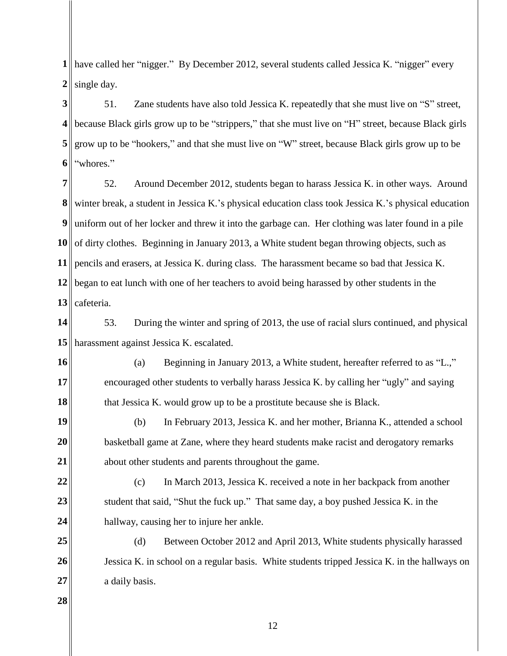**1** have called her "nigger." By December 2012, several students called Jessica K. "nigger" every **2** single day.

**3 4 5 6** 51. Zane students have also told Jessica K. repeatedly that she must live on "S" street, because Black girls grow up to be "strippers," that she must live on "H" street, because Black girls grow up to be "hookers," and that she must live on "W" street, because Black girls grow up to be "whores."

**7 8 9 10** of dirty clothes. Beginning in January 2013, a White student began throwing objects, such as **11** pencils and erasers, at Jessica K. during class. The harassment became so bad that Jessica K. **12 13** 52. Around December 2012, students began to harass Jessica K. in other ways. Around winter break, a student in Jessica K.'s physical education class took Jessica K.'s physical education uniform out of her locker and threw it into the garbage can. Her clothing was later found in a pile began to eat lunch with one of her teachers to avoid being harassed by other students in the cafeteria.

**14 15** harassment against Jessica K. escalated. 53. During the winter and spring of 2013, the use of racial slurs continued, and physical

**16 17 18** (a) Beginning in January 2013, a White student, hereafter referred to as "L.," encouraged other students to verbally harass Jessica K. by calling her "ugly" and saying that Jessica K. would grow up to be a prostitute because she is Black.

**19 20 21** (b) In February 2013, Jessica K. and her mother, Brianna K., attended a school basketball game at Zane, where they heard students make racist and derogatory remarks about other students and parents throughout the game.

**22 23 24** (c) In March 2013, Jessica K. received a note in her backpack from another student that said, "Shut the fuck up." That same day, a boy pushed Jessica K. in the hallway, causing her to injure her ankle.

**25 26 27** (d) Between October 2012 and April 2013, White students physically harassed Jessica K. in school on a regular basis. White students tripped Jessica K. in the hallways on a daily basis.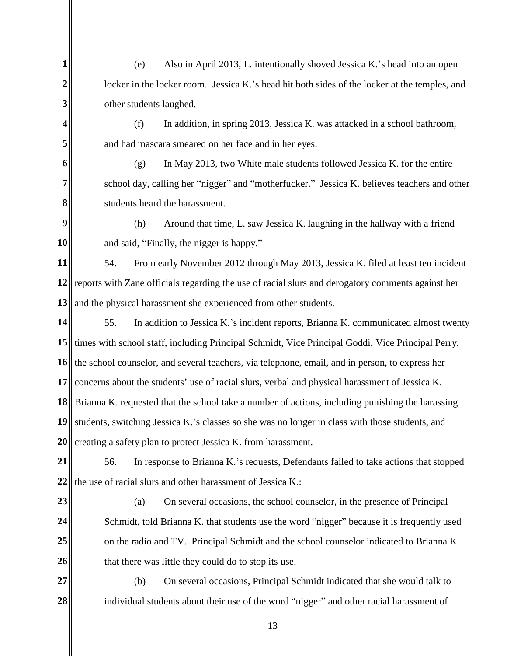(e) Also in April 2013, L. intentionally shoved Jessica K.'s head into an open locker in the locker room. Jessica K.'s head hit both sides of the locker at the temples, and other students laughed.

**4**

**1**

**2**

**3**

**5**

(f) In addition, in spring 2013, Jessica K. was attacked in a school bathroom, and had mascara smeared on her face and in her eyes.

**6 7 8** (g) In May 2013, two White male students followed Jessica K. for the entire school day, calling her "nigger" and "motherfucker." Jessica K. believes teachers and other students heard the harassment.

**9 10** (h) Around that time, L. saw Jessica K. laughing in the hallway with a friend and said, "Finally, the nigger is happy."

**11 12** reports with Zane officials regarding the use of racial slurs and derogatory comments against her **13** 54. From early November 2012 through May 2013, Jessica K. filed at least ten incident and the physical harassment she experienced from other students.

**14 15** times with school staff, including Principal Schmidt, Vice Principal Goddi, Vice Principal Perry, **16** the school counselor, and several teachers, via telephone, email, and in person, to express her **17 18** Brianna K. requested that the school take a number of actions, including punishing the harassing **19 20** 55. In addition to Jessica K.'s incident reports, Brianna K. communicated almost twenty concerns about the students' use of racial slurs, verbal and physical harassment of Jessica K. students, switching Jessica K.'s classes so she was no longer in class with those students, and creating a safety plan to protect Jessica K. from harassment.

**21 22** 56. In response to Brianna K.'s requests, Defendants failed to take actions that stopped the use of racial slurs and other harassment of Jessica K.:

**23**

**24**

**25**

**26**

(a) On several occasions, the school counselor, in the presence of Principal Schmidt, told Brianna K. that students use the word "nigger" because it is frequently used on the radio and TV. Principal Schmidt and the school counselor indicated to Brianna K. that there was little they could do to stop its use.

**27 28**  (b) On several occasions, Principal Schmidt indicated that she would talk to individual students about their use of the word "nigger" and other racial harassment of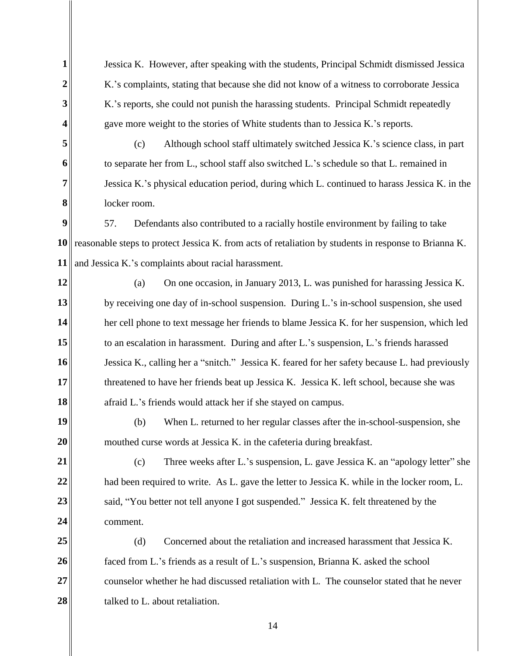**1 2 3 4 5 6 7 8 9 10** reasonable steps to protect Jessica K. from acts of retaliation by students in response to Brianna K. **11 12 13 14 15 16 17 18 19 20 21 22 23 24 25 26 27 28**  Jessica K. However, after speaking with the students, Principal Schmidt dismissed Jessica K.'s complaints, stating that because she did not know of a witness to corroborate Jessica K.'s reports, she could not punish the harassing students. Principal Schmidt repeatedly gave more weight to the stories of White students than to Jessica K.'s reports. (c) Although school staff ultimately switched Jessica K.'s science class, in part to separate her from L., school staff also switched L.'s schedule so that L. remained in Jessica K.'s physical education period, during which L. continued to harass Jessica K. in the locker room. 57. Defendants also contributed to a racially hostile environment by failing to take and Jessica K.'s complaints about racial harassment. (a) On one occasion, in January 2013, L. was punished for harassing Jessica K. by receiving one day of in-school suspension. During L.'s in-school suspension, she used her cell phone to text message her friends to blame Jessica K. for her suspension, which led to an escalation in harassment. During and after L.'s suspension, L.'s friends harassed Jessica K., calling her a "snitch." Jessica K. feared for her safety because L. had previously threatened to have her friends beat up Jessica K. Jessica K. left school, because she was afraid L.'s friends would attack her if she stayed on campus. (b) When L. returned to her regular classes after the in-school-suspension, she mouthed curse words at Jessica K. in the cafeteria during breakfast. (c) Three weeks after L.'s suspension, L. gave Jessica K. an "apology letter" she had been required to write. As L. gave the letter to Jessica K. while in the locker room, L. said, "You better not tell anyone I got suspended." Jessica K. felt threatened by the comment. (d) Concerned about the retaliation and increased harassment that Jessica K. faced from L.'s friends as a result of L.'s suspension, Brianna K. asked the school counselor whether he had discussed retaliation with L. The counselor stated that he never talked to L. about retaliation.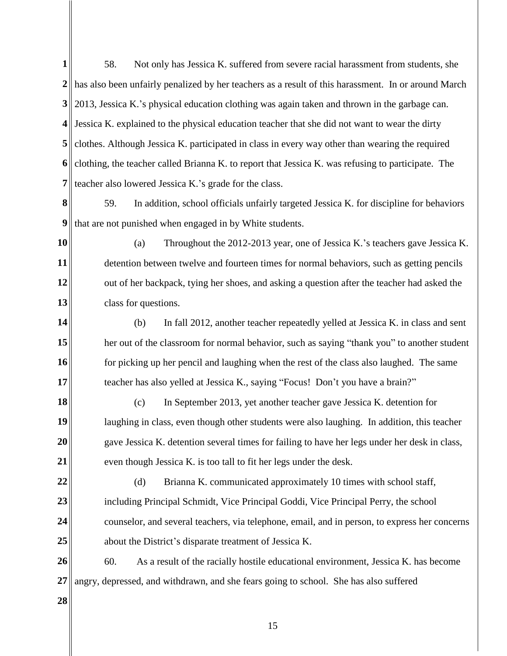**1 2** has also been unfairly penalized by her teachers as a result of this harassment. In or around March **3** 2013, Jessica K.'s physical education clothing was again taken and thrown in the garbage can. **4** Jessica K. explained to the physical education teacher that she did not want to wear the dirty **5 6 7 8 9 10 11 12 13 14 15 16** 58. Not only has Jessica K. suffered from severe racial harassment from students, she clothes. Although Jessica K. participated in class in every way other than wearing the required clothing, the teacher called Brianna K. to report that Jessica K. was refusing to participate. The teacher also lowered Jessica K.'s grade for the class. 59. In addition, school officials unfairly targeted Jessica K. for discipline for behaviors that are not punished when engaged in by White students. (a) Throughout the 2012-2013 year, one of Jessica K.'s teachers gave Jessica K. detention between twelve and fourteen times for normal behaviors, such as getting pencils out of her backpack, tying her shoes, and asking a question after the teacher had asked the class for questions. (b) In fall 2012, another teacher repeatedly yelled at Jessica K. in class and sent her out of the classroom for normal behavior, such as saying "thank you" to another student for picking up her pencil and laughing when the rest of the class also laughed. The same

teacher has also yelled at Jessica K., saying "Focus! Don't you have a brain?"

**18 19 20 21** (c) In September 2013, yet another teacher gave Jessica K. detention for laughing in class, even though other students were also laughing. In addition, this teacher gave Jessica K. detention several times for failing to have her legs under her desk in class, even though Jessica K. is too tall to fit her legs under the desk.

**22 23 24 25** (d) Brianna K. communicated approximately 10 times with school staff, including Principal Schmidt, Vice Principal Goddi, Vice Principal Perry, the school counselor, and several teachers, via telephone, email, and in person, to express her concerns about the District's disparate treatment of Jessica K.

**26 27** 60. As a result of the racially hostile educational environment, Jessica K. has become angry, depressed, and withdrawn, and she fears going to school. She has also suffered

**28**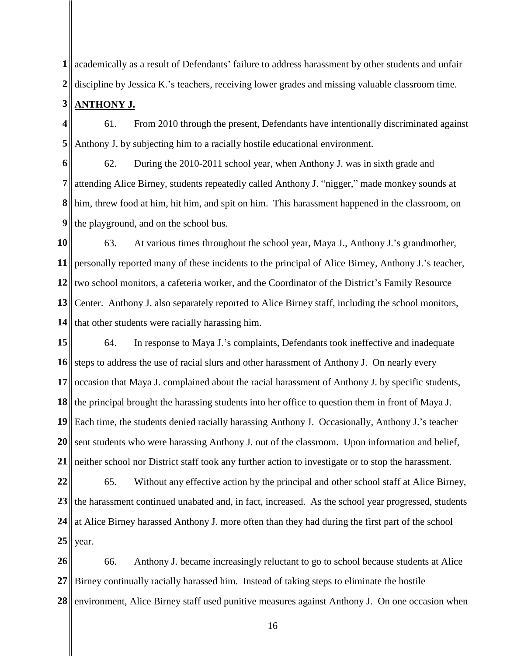**1** academically as a result of Defendants' failure to address harassment by other students and unfair **2** discipline by Jessica K.'s teachers, receiving lower grades and missing valuable classroom time.

**3 ANTHONY J.**

**4 5** 61. From 2010 through the present, Defendants have intentionally discriminated against Anthony J. by subjecting him to a racially hostile educational environment.

**6 7 8 9** 62. During the 2010-2011 school year, when Anthony J. was in sixth grade and attending Alice Birney, students repeatedly called Anthony J. "nigger," made monkey sounds at him, threw food at him, hit him, and spit on him. This harassment happened in the classroom, on the playground, and on the school bus.

**10 11 12 13 14** 63. At various times throughout the school year, Maya J., Anthony J.'s grandmother, personally reported many of these incidents to the principal of Alice Birney, Anthony J.'s teacher, two school monitors, a cafeteria worker, and the Coordinator of the District's Family Resource Center. Anthony J. also separately reported to Alice Birney staff, including the school monitors, that other students were racially harassing him.

**15 16 17 18 19 20 21** 64. In response to Maya J.'s complaints, Defendants took ineffective and inadequate steps to address the use of racial slurs and other harassment of Anthony J. On nearly every occasion that Maya J. complained about the racial harassment of Anthony J. by specific students, the principal brought the harassing students into her office to question them in front of Maya J. Each time, the students denied racially harassing Anthony J. Occasionally, Anthony J.'s teacher sent students who were harassing Anthony J. out of the classroom. Upon information and belief, neither school nor District staff took any further action to investigate or to stop the harassment.

**22 23 24 25** 65. Without any effective action by the principal and other school staff at Alice Birney, the harassment continued unabated and, in fact, increased. As the school year progressed, students at Alice Birney harassed Anthony J. more often than they had during the first part of the school year.

**26 27 28**  66. Anthony J. became increasingly reluctant to go to school because students at Alice Birney continually racially harassed him. Instead of taking steps to eliminate the hostile environment, Alice Birney staff used punitive measures against Anthony J. On one occasion when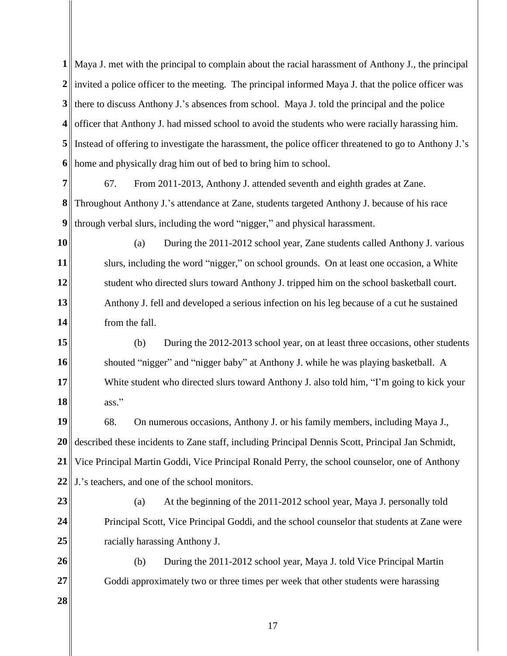**1** Maya J. met with the principal to complain about the racial harassment of Anthony J., the principal 2<sup> $\parallel$ </sup> invited a police officer to the meeting. The principal informed Maya J. that the police officer was **3** there to discuss Anthony J.'s absences from school. Maya J. told the principal and the police **4** officer that Anthony J. had missed school to avoid the students who were racially harassing him. **5** Instead of offering to investigate the harassment, the police officer threatened to go to Anthony J.'s **6** home and physically drag him out of bed to bring him to school.

**7 8 9** 67. From 2011-2013, Anthony J. attended seventh and eighth grades at Zane. Throughout Anthony J.'s attendance at Zane, students targeted Anthony J. because of his race through verbal slurs, including the word "nigger," and physical harassment.

**10 11 12 13 14** (a) During the 2011-2012 school year, Zane students called Anthony J. various slurs, including the word "nigger," on school grounds. On at least one occasion, a White student who directed slurs toward Anthony J. tripped him on the school basketball court. Anthony J. fell and developed a serious infection on his leg because of a cut he sustained from the fall.

**15 16 17 18** (b) During the 2012-2013 school year, on at least three occasions, other students shouted "nigger" and "nigger baby" at Anthony J. while he was playing basketball. A White student who directed slurs toward Anthony J. also told him, "I'm going to kick your ass."

**19 20 21 22** 68. On numerous occasions, Anthony J. or his family members, including Maya J., described these incidents to Zane staff, including Principal Dennis Scott, Principal Jan Schmidt, Vice Principal Martin Goddi, Vice Principal Ronald Perry, the school counselor, one of Anthony J.'s teachers, and one of the school monitors.

**23**

**24**

**25**

(a) At the beginning of the 2011-2012 school year, Maya J. personally told Principal Scott, Vice Principal Goddi, and the school counselor that students at Zane were racially harassing Anthony J.

**26 27** (b) During the 2011-2012 school year, Maya J. told Vice Principal Martin Goddi approximately two or three times per week that other students were harassing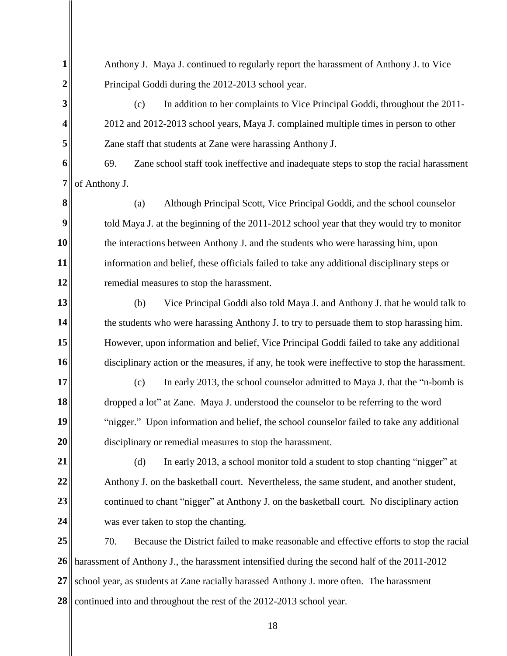| $\mathbf{1}$     | Anthony J. Maya J. continued to regularly report the harassment of Anthony J. to Vice          |  |
|------------------|------------------------------------------------------------------------------------------------|--|
| 2                | Principal Goddi during the 2012-2013 school year.                                              |  |
| 3                | In addition to her complaints to Vice Principal Goddi, throughout the 2011-<br>(c)             |  |
| 4                | 2012 and 2012-2013 school years, Maya J. complained multiple times in person to other          |  |
| 5                | Zane staff that students at Zane were harassing Anthony J.                                     |  |
| 6                | Zane school staff took ineffective and inadequate steps to stop the racial harassment<br>69.   |  |
| 7                | of Anthony J.                                                                                  |  |
| 8                | Although Principal Scott, Vice Principal Goddi, and the school counselor<br>(a)                |  |
| $\boldsymbol{9}$ | told Maya J. at the beginning of the 2011-2012 school year that they would try to monitor      |  |
| 10               | the interactions between Anthony J. and the students who were harassing him, upon              |  |
| 11               | information and belief, these officials failed to take any additional disciplinary steps or    |  |
| 12               | remedial measures to stop the harassment.                                                      |  |
| 13               | Vice Principal Goddi also told Maya J. and Anthony J. that he would talk to<br>(b)             |  |
| 14               | the students who were harassing Anthony J. to try to persuade them to stop harassing him.      |  |
| 15               | However, upon information and belief, Vice Principal Goddi failed to take any additional       |  |
| 16               | disciplinary action or the measures, if any, he took were ineffective to stop the harassment.  |  |
| 17               | In early 2013, the school counselor admitted to Maya J. that the "n-bomb is<br>(c)             |  |
| 18               | dropped a lot" at Zane. Maya J. understood the counselor to be referring to the word           |  |
| 19               | "nigger." Upon information and belief, the school counselor failed to take any additional      |  |
| 20               | disciplinary or remedial measures to stop the harassment.                                      |  |
| 21               | (d)<br>In early 2013, a school monitor told a student to stop chanting "nigger" at             |  |
| 22               | Anthony J. on the basketball court. Nevertheless, the same student, and another student,       |  |
| 23               | continued to chant "nigger" at Anthony J. on the basketball court. No disciplinary action      |  |
| 24               | was ever taken to stop the chanting.                                                           |  |
| 25               | 70.<br>Because the District failed to make reasonable and effective efforts to stop the racial |  |
| 26               | harassment of Anthony J., the harassment intensified during the second half of the 2011-2012   |  |
| 27               | school year, as students at Zane racially harassed Anthony J. more often. The harassment       |  |
| 28               | continued into and throughout the rest of the 2012-2013 school year.                           |  |

II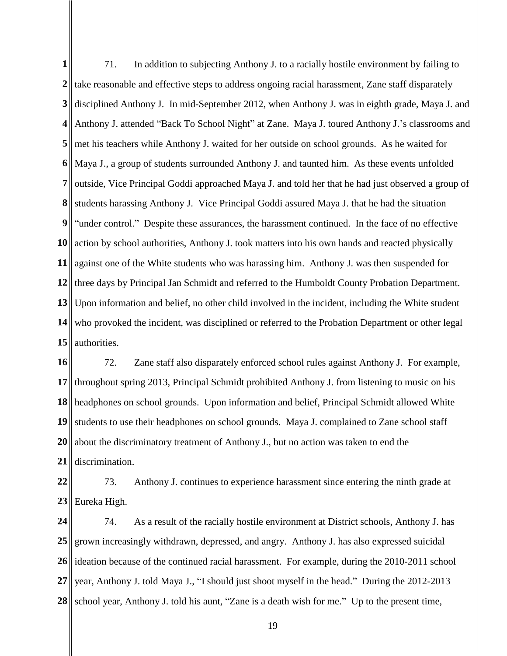**1** 2<sup>|</sup>| take reasonable and effective steps to address ongoing racial harassment, Zane staff disparately **3 4 5 6 7 8 9 10 11 12 13 14 15** 71. In addition to subjecting Anthony J. to a racially hostile environment by failing to disciplined Anthony J. In mid-September 2012, when Anthony J. was in eighth grade, Maya J. and Anthony J. attended "Back To School Night" at Zane. Maya J. toured Anthony J.'s classrooms and met his teachers while Anthony J. waited for her outside on school grounds. As he waited for Maya J., a group of students surrounded Anthony J. and taunted him. As these events unfolded outside, Vice Principal Goddi approached Maya J. and told her that he had just observed a group of students harassing Anthony J. Vice Principal Goddi assured Maya J. that he had the situation "under control." Despite these assurances, the harassment continued. In the face of no effective action by school authorities, Anthony J. took matters into his own hands and reacted physically against one of the White students who was harassing him. Anthony J. was then suspended for three days by Principal Jan Schmidt and referred to the Humboldt County Probation Department. Upon information and belief, no other child involved in the incident, including the White student who provoked the incident, was disciplined or referred to the Probation Department or other legal authorities.

**16 17 18 19 20 21** 72. Zane staff also disparately enforced school rules against Anthony J. For example, throughout spring 2013, Principal Schmidt prohibited Anthony J. from listening to music on his headphones on school grounds. Upon information and belief, Principal Schmidt allowed White students to use their headphones on school grounds. Maya J. complained to Zane school staff about the discriminatory treatment of Anthony J., but no action was taken to end the discrimination.

**22 23** 73. Anthony J. continues to experience harassment since entering the ninth grade at Eureka High.

**24 25 26 27 28**  74. As a result of the racially hostile environment at District schools, Anthony J. has grown increasingly withdrawn, depressed, and angry. Anthony J. has also expressed suicidal ideation because of the continued racial harassment. For example, during the 2010-2011 school year, Anthony J. told Maya J., "I should just shoot myself in the head." During the 2012-2013 school year, Anthony J. told his aunt, "Zane is a death wish for me." Up to the present time,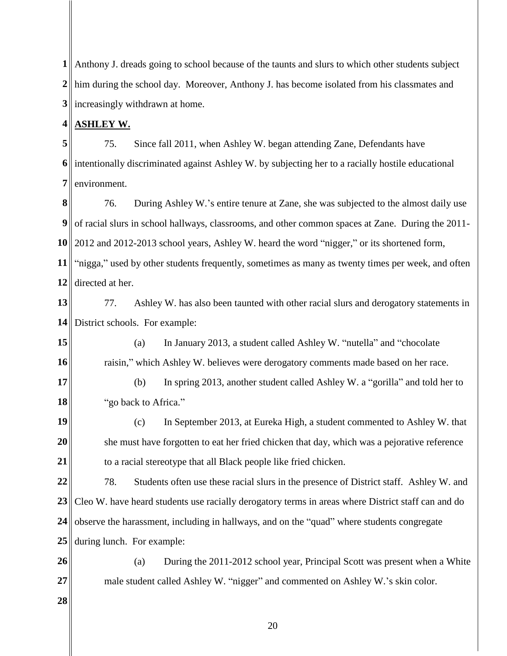**1** Anthony J. dreads going to school because of the taunts and slurs to which other students subject 2<sup>|</sup>| him during the school day. Moreover, Anthony J. has become isolated from his classmates and **3** increasingly withdrawn at home.

### **4 ASHLEY W.**

**5 6 7**  75. Since fall 2011, when Ashley W. began attending Zane, Defendants have intentionally discriminated against Ashley W. by subjecting her to a racially hostile educational environment.

**8 9 10** 2012 and 2012-2013 school years, Ashley W. heard the word "nigger," or its shortened form, **11 12** 76. During Ashley W.'s entire tenure at Zane, she was subjected to the almost daily use of racial slurs in school hallways, classrooms, and other common spaces at Zane. During the 2011- "nigga," used by other students frequently, sometimes as many as twenty times per week, and often directed at her.

**13 14** 77. Ashley W. has also been taunted with other racial slurs and derogatory statements in District schools. For example:

**15 16** (a) In January 2013, a student called Ashley W. "nutella" and "chocolate raisin," which Ashley W. believes were derogatory comments made based on her race.

**17 18** (b) In spring 2013, another student called Ashley W. a "gorilla" and told her to "go back to Africa."

**19 20 21** (c) In September 2013, at Eureka High, a student commented to Ashley W. that she must have forgotten to eat her fried chicken that day, which was a pejorative reference to a racial stereotype that all Black people like fried chicken.

**22 23 24 25** 78. Students often use these racial slurs in the presence of District staff. Ashley W. and Cleo W. have heard students use racially derogatory terms in areas where District staff can and do observe the harassment, including in hallways, and on the "quad" where students congregate during lunch. For example:

**26 27** (a) During the 2011-2012 school year, Principal Scott was present when a White male student called Ashley W. "nigger" and commented on Ashley W.'s skin color.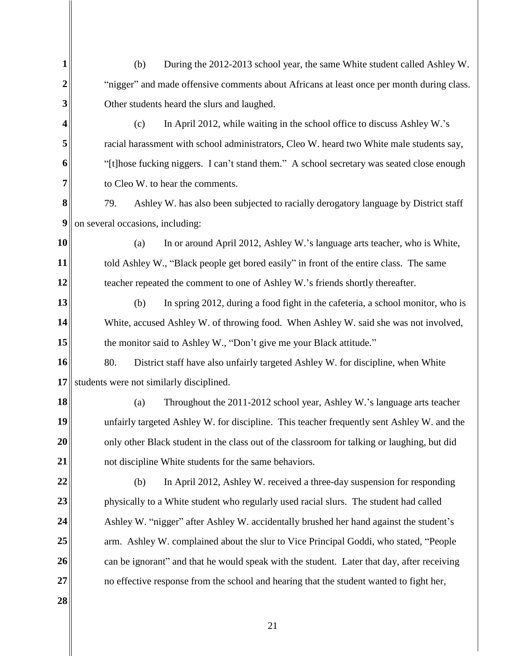| 1  | During the 2012-2013 school year, the same White student called Ashley W.<br>(b)            |
|----|---------------------------------------------------------------------------------------------|
| 2  | "nigger" and made offensive comments about Africans at least once per month during class.   |
| 3  | Other students heard the slurs and laughed.                                                 |
| 4  | (c)<br>In April 2012, while waiting in the school office to discuss Ashley W.'s             |
| 5  | racial harassment with school administrators, Cleo W. heard two White male students say,    |
| 6  | "[t]hose fucking niggers. I can't stand them." A school secretary was seated close enough   |
| 7  | to Cleo W. to hear the comments.                                                            |
| 8  | 79.<br>Ashley W. has also been subjected to racially derogatory language by District staff  |
| 9  | on several occasions, including:                                                            |
| 10 | In or around April 2012, Ashley W.'s language arts teacher, who is White,<br>(a)            |
| 11 | told Ashley W., "Black people get bored easily" in front of the entire class. The same      |
| 12 | teacher repeated the comment to one of Ashley W.'s friends shortly thereafter.              |
| 13 | In spring 2012, during a food fight in the cafeteria, a school monitor, who is<br>(b)       |
| 14 | White, accused Ashley W. of throwing food. When Ashley W. said she was not involved,        |
| 15 | the monitor said to Ashley W., "Don't give me your Black attitude."                         |
| 16 | 80.<br>District staff have also unfairly targeted Ashley W. for discipline, when White      |
| 17 | students were not similarly disciplined.                                                    |
| 18 | Throughout the 2011-2012 school year, Ashley W.'s language arts teacher<br>(a)              |
| 19 | unfairly targeted Ashley W. for discipline. This teacher frequently sent Ashley W. and the  |
| 20 | only other Black student in the class out of the classroom for talking or laughing, but did |
| 21 | not discipline White students for the same behaviors.                                       |
| 22 | In April 2012, Ashley W. received a three-day suspension for responding<br>(b)              |
| 23 | physically to a White student who regularly used racial slurs. The student had called       |
| 24 | Ashley W. "nigger" after Ashley W. accidentally brushed her hand against the student's      |
| 25 | arm. Ashley W. complained about the slur to Vice Principal Goddi, who stated, "People       |
| 26 | can be ignorant" and that he would speak with the student. Later that day, after receiving  |
| 27 | no effective response from the school and hearing that the student wanted to fight her,     |
| 28 |                                                                                             |

II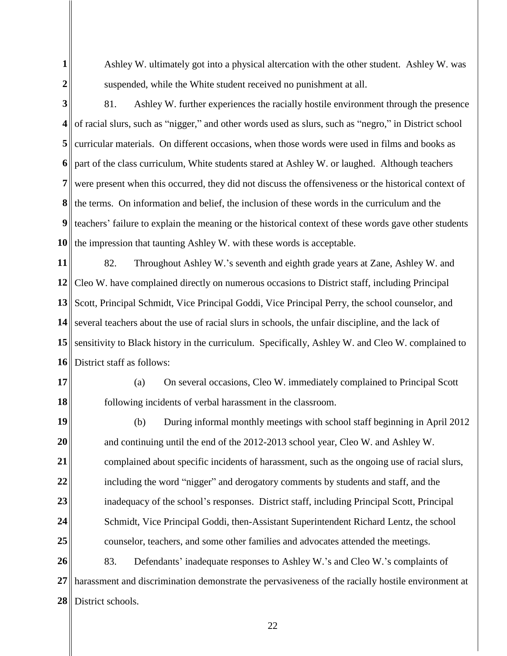**1**

Ashley W. ultimately got into a physical altercation with the other student. Ashley W. was suspended, while the White student received no punishment at all.

**2**

**3 4 5 6 7 8 9 10** 81. Ashley W. further experiences the racially hostile environment through the presence of racial slurs, such as "nigger," and other words used as slurs, such as "negro," in District school curricular materials. On different occasions, when those words were used in films and books as part of the class curriculum, White students stared at Ashley W. or laughed. Although teachers were present when this occurred, they did not discuss the offensiveness or the historical context of the terms. On information and belief, the inclusion of these words in the curriculum and the teachers' failure to explain the meaning or the historical context of these words gave other students the impression that taunting Ashley W. with these words is acceptable.

**11 12** Cleo W. have complained directly on numerous occasions to District staff, including Principal **13 14 15** sensitivity to Black history in the curriculum. Specifically, Ashley W. and Cleo W. complained to **16** 82. Throughout Ashley W.'s seventh and eighth grade years at Zane, Ashley W. and Scott, Principal Schmidt, Vice Principal Goddi, Vice Principal Perry, the school counselor, and several teachers about the use of racial slurs in schools, the unfair discipline, and the lack of District staff as follows:

**17**

**18**

(a) On several occasions, Cleo W. immediately complained to Principal Scott following incidents of verbal harassment in the classroom.

**19 20 21 22 23 24 25** (b) During informal monthly meetings with school staff beginning in April 2012 and continuing until the end of the 2012-2013 school year, Cleo W. and Ashley W. complained about specific incidents of harassment, such as the ongoing use of racial slurs, including the word "nigger" and derogatory comments by students and staff, and the inadequacy of the school's responses. District staff, including Principal Scott, Principal Schmidt, Vice Principal Goddi, then-Assistant Superintendent Richard Lentz, the school counselor, teachers, and some other families and advocates attended the meetings.

**26 27 28**  83. Defendants' inadequate responses to Ashley W.'s and Cleo W.'s complaints of harassment and discrimination demonstrate the pervasiveness of the racially hostile environment at District schools.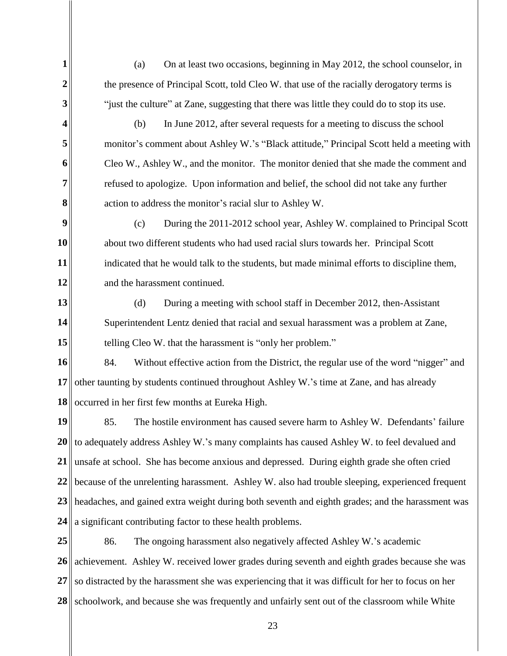(a) On at least two occasions, beginning in May 2012, the school counselor, in the presence of Principal Scott, told Cleo W. that use of the racially derogatory terms is "just the culture" at Zane, suggesting that there was little they could do to stop its use.

**1**

**2**

**3**

**4**

**5**

**6**

**7** 

**8**

(b) In June 2012, after several requests for a meeting to discuss the school monitor's comment about Ashley W.'s "Black attitude," Principal Scott held a meeting with Cleo W., Ashley W., and the monitor. The monitor denied that she made the comment and refused to apologize. Upon information and belief, the school did not take any further action to address the monitor's racial slur to Ashley W.

**9 10 11 12** (c) During the 2011-2012 school year, Ashley W. complained to Principal Scott about two different students who had used racial slurs towards her. Principal Scott indicated that he would talk to the students, but made minimal efforts to discipline them, and the harassment continued.

**13 14 15** (d) During a meeting with school staff in December 2012, then-Assistant Superintendent Lentz denied that racial and sexual harassment was a problem at Zane, telling Cleo W. that the harassment is "only her problem."

**16 17 18** 84. Without effective action from the District, the regular use of the word "nigger" and other taunting by students continued throughout Ashley W.'s time at Zane, and has already occurred in her first few months at Eureka High.

**19 20 21 22 23 24** 85. The hostile environment has caused severe harm to Ashley W. Defendants' failure to adequately address Ashley W.'s many complaints has caused Ashley W. to feel devalued and unsafe at school. She has become anxious and depressed. During eighth grade she often cried because of the unrelenting harassment. Ashley W. also had trouble sleeping, experienced frequent headaches, and gained extra weight during both seventh and eighth grades; and the harassment was a significant contributing factor to these health problems.

**25 26 27 28**  86. The ongoing harassment also negatively affected Ashley W.'s academic achievement. Ashley W. received lower grades during seventh and eighth grades because she was so distracted by the harassment she was experiencing that it was difficult for her to focus on her schoolwork, and because she was frequently and unfairly sent out of the classroom while White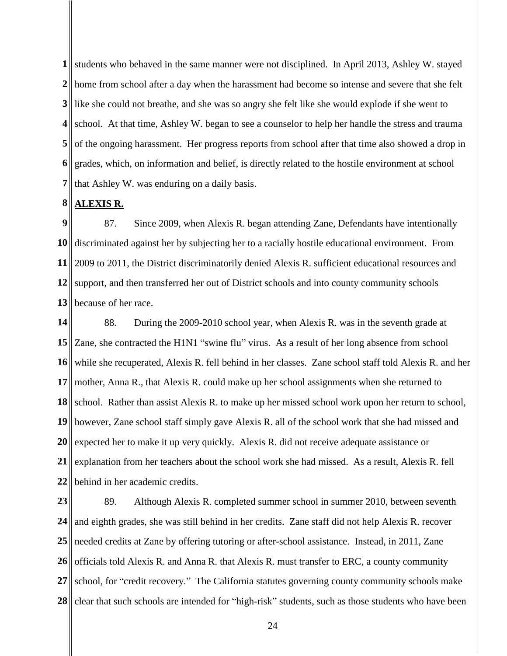**1** students who behaved in the same manner were not disciplined. In April 2013, Ashley W. stayed **2** home from school after a day when the harassment had become so intense and severe that she felt **3** like she could not breathe, and she was so angry she felt like she would explode if she went to **4** school. At that time, Ashley W. began to see a counselor to help her handle the stress and trauma **5 6 7**  of the ongoing harassment. Her progress reports from school after that time also showed a drop in grades, which, on information and belief, is directly related to the hostile environment at school that Ashley W. was enduring on a daily basis.

#### **8 ALEXIS R.**

**9 10 11** 2009 to 2011, the District discriminatorily denied Alexis R. sufficient educational resources and 12 support, and then transferred her out of District schools and into county community schools **13** 87. Since 2009, when Alexis R. began attending Zane, Defendants have intentionally discriminated against her by subjecting her to a racially hostile educational environment. From because of her race.

**14 15** Zane, she contracted the H1N1 "swine flu" virus. As a result of her long absence from school **16 17 18 19 20 21 22** 88. During the 2009-2010 school year, when Alexis R. was in the seventh grade at while she recuperated, Alexis R. fell behind in her classes. Zane school staff told Alexis R. and her mother, Anna R., that Alexis R. could make up her school assignments when she returned to school. Rather than assist Alexis R. to make up her missed school work upon her return to school, however, Zane school staff simply gave Alexis R. all of the school work that she had missed and expected her to make it up very quickly. Alexis R. did not receive adequate assistance or explanation from her teachers about the school work she had missed. As a result, Alexis R. fell behind in her academic credits.

**23 24 25 26 27 28**  89. Although Alexis R. completed summer school in summer 2010, between seventh and eighth grades, she was still behind in her credits. Zane staff did not help Alexis R. recover needed credits at Zane by offering tutoring or after-school assistance. Instead, in 2011, Zane officials told Alexis R. and Anna R. that Alexis R. must transfer to ERC, a county community school, for "credit recovery." The California statutes governing county community schools make clear that such schools are intended for "high-risk" students, such as those students who have been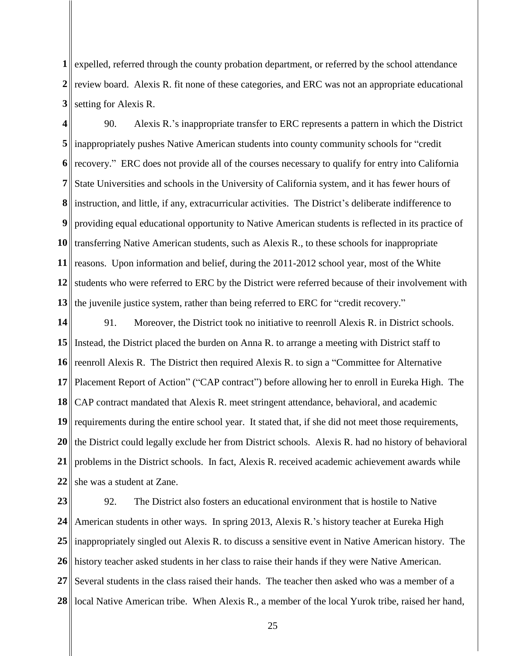**1** expelled, referred through the county probation department, or referred by the school attendance 2<sup> $\parallel$ </sup> review board. Alexis R. fit none of these categories, and ERC was not an appropriate educational **3** setting for Alexis R.

**4 5** inappropriately pushes Native American students into county community schools for "credit **6 7 8** instruction, and little, if any, extracurricular activities. The District's deliberate indifference to **9** 10 transferring Native American students, such as Alexis R., to these schools for inappropriate 11 reasons. Upon information and belief, during the 2011-2012 school year, most of the White **12** students who were referred to ERC by the District were referred because of their involvement with **13** 90. Alexis R.'s inappropriate transfer to ERC represents a pattern in which the District recovery." ERC does not provide all of the courses necessary to qualify for entry into California State Universities and schools in the University of California system, and it has fewer hours of providing equal educational opportunity to Native American students is reflected in its practice of the juvenile justice system, rather than being referred to ERC for "credit recovery."

**14 15** Instead, the District placed the burden on Anna R. to arrange a meeting with District staff to **16** reenroll Alexis R. The District then required Alexis R. to sign a "Committee for Alternative **17 18 19 20 21 22** 91. Moreover, the District took no initiative to reenroll Alexis R. in District schools. Placement Report of Action" ("CAP contract") before allowing her to enroll in Eureka High. The CAP contract mandated that Alexis R. meet stringent attendance, behavioral, and academic  $\parallel$  requirements during the entire school year. It stated that, if she did not meet those requirements, the District could legally exclude her from District schools. Alexis R. had no history of behavioral problems in the District schools. In fact, Alexis R. received academic achievement awards while she was a student at Zane.

**23 24 25** 26 history teacher asked students in her class to raise their hands if they were Native American. **27 28**  92. The District also fosters an educational environment that is hostile to Native American students in other ways. In spring 2013, Alexis R.'s history teacher at Eureka High inappropriately singled out Alexis R. to discuss a sensitive event in Native American history. The Several students in the class raised their hands. The teacher then asked who was a member of a local Native American tribe. When Alexis R., a member of the local Yurok tribe, raised her hand,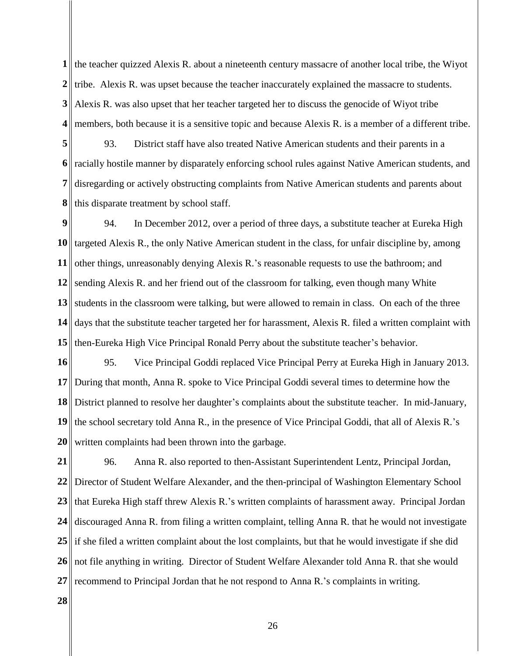**1** the teacher quizzed Alexis R. about a nineteenth century massacre of another local tribe, the Wiyot **2** firibe. Alexis R. was upset because the teacher inaccurately explained the massacre to students. **3 4** members, both because it is a sensitive topic and because Alexis R. is a member of a different tribe. Alexis R. was also upset that her teacher targeted her to discuss the genocide of Wiyot tribe

**5 6 7 8** 93. District staff have also treated Native American students and their parents in a racially hostile manner by disparately enforcing school rules against Native American students, and disregarding or actively obstructing complaints from Native American students and parents about this disparate treatment by school staff.

**9 10** targeted Alexis R., the only Native American student in the class, for unfair discipline by, among **11** 12 sending Alexis R. and her friend out of the classroom for talking, even though many White **13** students in the classroom were talking, but were allowed to remain in class. On each of the three **14 15** 94. In December 2012, over a period of three days, a substitute teacher at Eureka High other things, unreasonably denying Alexis R.'s reasonable requests to use the bathroom; and days that the substitute teacher targeted her for harassment, Alexis R. filed a written complaint with then-Eureka High Vice Principal Ronald Perry about the substitute teacher's behavior.

**16 17 18 19 20** 95. Vice Principal Goddi replaced Vice Principal Perry at Eureka High in January 2013. During that month, Anna R. spoke to Vice Principal Goddi several times to determine how the District planned to resolve her daughter's complaints about the substitute teacher. In mid-January, the school secretary told Anna R., in the presence of Vice Principal Goddi, that all of Alexis R.'s written complaints had been thrown into the garbage.

**21 22 23 24** 25 if she filed a written complaint about the lost complaints, but that he would investigate if she did **26 27** 96. Anna R. also reported to then-Assistant Superintendent Lentz, Principal Jordan, Director of Student Welfare Alexander, and the then-principal of Washington Elementary School that Eureka High staff threw Alexis R.'s written complaints of harassment away. Principal Jordan discouraged Anna R. from filing a written complaint, telling Anna R. that he would not investigate not file anything in writing. Director of Student Welfare Alexander told Anna R. that she would recommend to Principal Jordan that he not respond to Anna R.'s complaints in writing.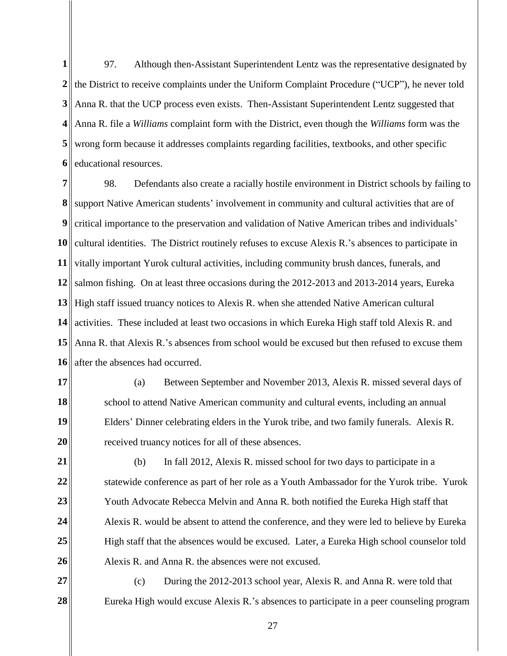**1**  $2 \parallel$  the District to receive complaints under the Uniform Complaint Procedure ("UCP"), he never told **3 4 5 6** 97. Although then-Assistant Superintendent Lentz was the representative designated by Anna R. that the UCP process even exists. Then-Assistant Superintendent Lentz suggested that Anna R. file a *Williams* complaint form with the District, even though the *Williams* form was the wrong form because it addresses complaints regarding facilities, textbooks, and other specific educational resources.

**7 8** support Native American students' involvement in community and cultural activities that are of **9 10** cultural identities. The District routinely refuses to excuse Alexis R.'s absences to participate in 11 vitally important Yurok cultural activities, including community brush dances, funerals, and 12 salmon fishing. On at least three occasions during the 2012-2013 and 2013-2014 years, Eureka **13 14 15 16** 98. Defendants also create a racially hostile environment in District schools by failing to critical importance to the preservation and validation of Native American tribes and individuals' High staff issued truancy notices to Alexis R. when she attended Native American cultural activities. These included at least two occasions in which Eureka High staff told Alexis R. and Anna R. that Alexis R.'s absences from school would be excused but then refused to excuse them after the absences had occurred.

**17**

**18**

**19**

**20**

(a) Between September and November 2013, Alexis R. missed several days of school to attend Native American community and cultural events, including an annual Elders' Dinner celebrating elders in the Yurok tribe, and two family funerals. Alexis R. received truancy notices for all of these absences.

**21 22 23 24 25 26** (b) In fall 2012, Alexis R. missed school for two days to participate in a statewide conference as part of her role as a Youth Ambassador for the Yurok tribe. Yurok Youth Advocate Rebecca Melvin and Anna R. both notified the Eureka High staff that Alexis R. would be absent to attend the conference, and they were led to believe by Eureka High staff that the absences would be excused. Later, a Eureka High school counselor told Alexis R. and Anna R. the absences were not excused.

**27 28**  (c) During the 2012-2013 school year, Alexis R. and Anna R. were told that Eureka High would excuse Alexis R.'s absences to participate in a peer counseling program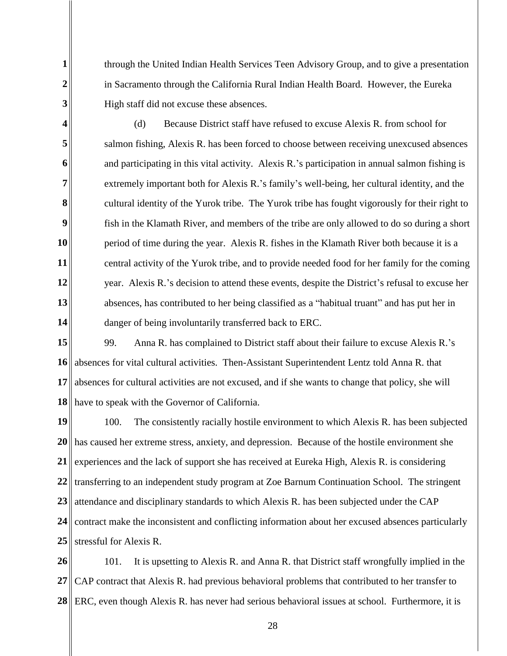through the United Indian Health Services Teen Advisory Group, and to give a presentation in Sacramento through the California Rural Indian Health Board. However, the Eureka High staff did not excuse these absences.

**3 4**

**1**

**2**

**5 6 7 8 9 10 11 12 13 14** (d) Because District staff have refused to excuse Alexis R. from school for salmon fishing, Alexis R. has been forced to choose between receiving unexcused absences and participating in this vital activity. Alexis R.'s participation in annual salmon fishing is extremely important both for Alexis R.'s family's well-being, her cultural identity, and the cultural identity of the Yurok tribe. The Yurok tribe has fought vigorously for their right to fish in the Klamath River, and members of the tribe are only allowed to do so during a short period of time during the year. Alexis R. fishes in the Klamath River both because it is a central activity of the Yurok tribe, and to provide needed food for her family for the coming year. Alexis R.'s decision to attend these events, despite the District's refusal to excuse her absences, has contributed to her being classified as a "habitual truant" and has put her in danger of being involuntarily transferred back to ERC.

**15 16 17 18** 99. Anna R. has complained to District staff about their failure to excuse Alexis R.'s absences for vital cultural activities. Then-Assistant Superintendent Lentz told Anna R. that absences for cultural activities are not excused, and if she wants to change that policy, she will have to speak with the Governor of California.

**19 20 21 22 23 24 25** 100. The consistently racially hostile environment to which Alexis R. has been subjected has caused her extreme stress, anxiety, and depression. Because of the hostile environment she experiences and the lack of support she has received at Eureka High, Alexis R. is considering transferring to an independent study program at Zoe Barnum Continuation School. The stringent attendance and disciplinary standards to which Alexis R. has been subjected under the CAP contract make the inconsistent and conflicting information about her excused absences particularly stressful for Alexis R.

**26 27 28**  101. It is upsetting to Alexis R. and Anna R. that District staff wrongfully implied in the CAP contract that Alexis R. had previous behavioral problems that contributed to her transfer to ERC, even though Alexis R. has never had serious behavioral issues at school. Furthermore, it is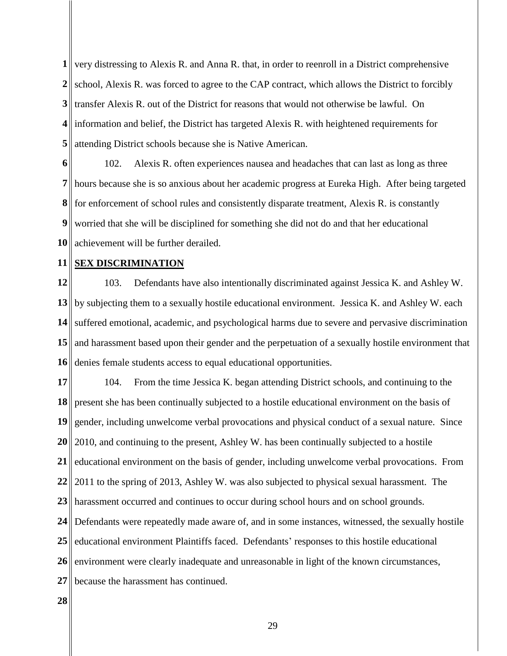**1** very distressing to Alexis R. and Anna R. that, in order to reenroll in a District comprehensive 2<sup> $\parallel$ </sup> school, Alexis R. was forced to agree to the CAP contract, which allows the District to forcibly **3** transfer Alexis R. out of the District for reasons that would not otherwise be lawful. On **4** information and belief, the District has targeted Alexis R. with heightened requirements for **5** attending District schools because she is Native American.

**6 7 8 9** worried that she will be disciplined for something she did not do and that her educational **10** achievement will be further derailed. 102. Alexis R. often experiences nausea and headaches that can last as long as three hours because she is so anxious about her academic progress at Eureka High. After being targeted for enforcement of school rules and consistently disparate treatment, Alexis R. is constantly

#### **11 SEX DISCRIMINATION**

**12 13** by subjecting them to a sexually hostile educational environment. Jessica K. and Ashley W. each **14 15** and harassment based upon their gender and the perpetuation of a sexually hostile environment that **16** 103. Defendants have also intentionally discriminated against Jessica K. and Ashley W. suffered emotional, academic, and psychological harms due to severe and pervasive discrimination denies female students access to equal educational opportunities.

**17 18 19 20 21 22 23** harassment occurred and continues to occur during school hours and on school grounds. **24 25 26 27** 104. From the time Jessica K. began attending District schools, and continuing to the present she has been continually subjected to a hostile educational environment on the basis of gender, including unwelcome verbal provocations and physical conduct of a sexual nature. Since 2010, and continuing to the present, Ashley W. has been continually subjected to a hostile educational environment on the basis of gender, including unwelcome verbal provocations. From 2011 to the spring of 2013, Ashley W. was also subjected to physical sexual harassment. The Defendants were repeatedly made aware of, and in some instances, witnessed, the sexually hostile educational environment Plaintiffs faced. Defendants' responses to this hostile educational environment were clearly inadequate and unreasonable in light of the known circumstances, because the harassment has continued.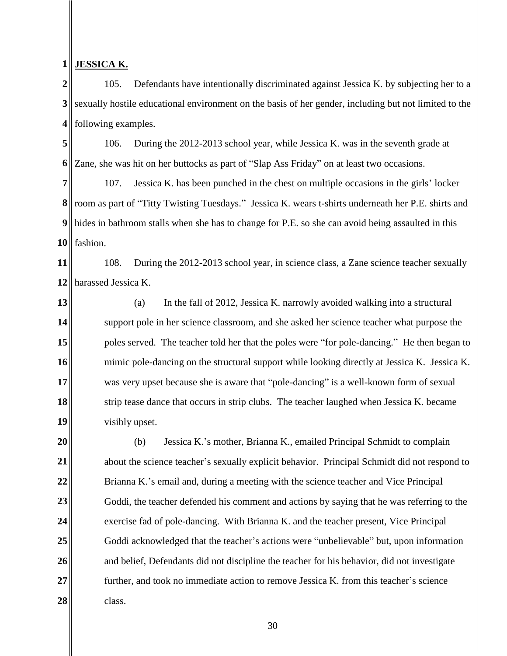#### **1 JESSICA K.**

**2 3 4** 105. Defendants have intentionally discriminated against Jessica K. by subjecting her to a sexually hostile educational environment on the basis of her gender, including but not limited to the following examples.

**5 6** 106. During the 2012-2013 school year, while Jessica K. was in the seventh grade at Zane, she was hit on her buttocks as part of "Slap Ass Friday" on at least two occasions.

**7 8** room as part of "Titty Twisting Tuesdays." Jessica K. wears t-shirts underneath her P.E. shirts and **9 10** 107. Jessica K. has been punched in the chest on multiple occasions in the girls' locker hides in bathroom stalls when she has to change for P.E. so she can avoid being assaulted in this fashion.

**11 12** 108. During the 2012-2013 school year, in science class, a Zane science teacher sexually harassed Jessica K.

**13 14 15 16 17 18 19** (a) In the fall of 2012, Jessica K. narrowly avoided walking into a structural support pole in her science classroom, and she asked her science teacher what purpose the poles served. The teacher told her that the poles were "for pole-dancing." He then began to mimic pole-dancing on the structural support while looking directly at Jessica K. Jessica K. was very upset because she is aware that "pole-dancing" is a well-known form of sexual strip tease dance that occurs in strip clubs. The teacher laughed when Jessica K. became visibly upset.

**20 21 22 23 24 25 26 27 28**  (b) Jessica K.'s mother, Brianna K., emailed Principal Schmidt to complain about the science teacher's sexually explicit behavior. Principal Schmidt did not respond to Brianna K.'s email and, during a meeting with the science teacher and Vice Principal Goddi, the teacher defended his comment and actions by saying that he was referring to the exercise fad of pole-dancing. With Brianna K. and the teacher present, Vice Principal Goddi acknowledged that the teacher's actions were "unbelievable" but, upon information and belief, Defendants did not discipline the teacher for his behavior, did not investigate further, and took no immediate action to remove Jessica K. from this teacher's science class.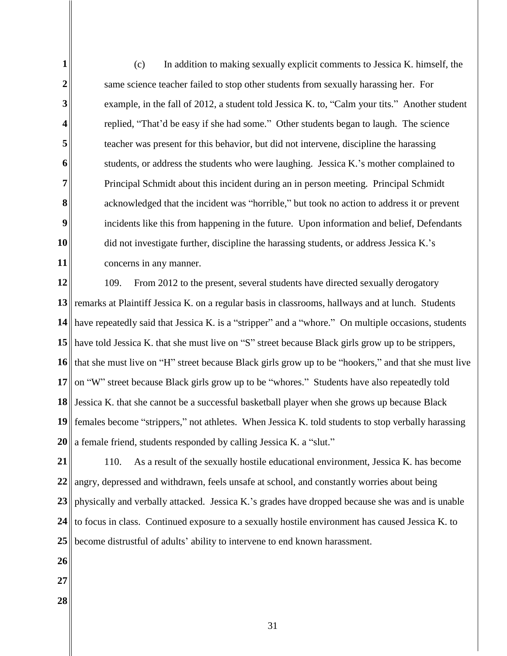**1 2 3 4 5 6 7 8 9 10 11** (c) In addition to making sexually explicit comments to Jessica K. himself, the same science teacher failed to stop other students from sexually harassing her. For example, in the fall of 2012, a student told Jessica K. to, "Calm your tits." Another student replied, "That'd be easy if she had some." Other students began to laugh. The science teacher was present for this behavior, but did not intervene, discipline the harassing students, or address the students who were laughing. Jessica K.'s mother complained to Principal Schmidt about this incident during an in person meeting. Principal Schmidt acknowledged that the incident was "horrible," but took no action to address it or prevent incidents like this from happening in the future. Upon information and belief, Defendants did not investigate further, discipline the harassing students, or address Jessica K.'s concerns in any manner.

**12** 13<sup> $\parallel$ </sup> remarks at Plaintiff Jessica K. on a regular basis in classrooms, hallways and at lunch. Students **14 15** have told Jessica K. that she must live on "S" street because Black girls grow up to be strippers, **16 17 18 19 20** 109. From 2012 to the present, several students have directed sexually derogatory have repeatedly said that Jessica K. is a "stripper" and a "whore." On multiple occasions, students that she must live on "H" street because Black girls grow up to be "hookers," and that she must live on "W" street because Black girls grow up to be "whores." Students have also repeatedly told Jessica K. that she cannot be a successful basketball player when she grows up because Black females become "strippers," not athletes. When Jessica K. told students to stop verbally harassing a female friend, students responded by calling Jessica K. a "slut."

**21 22 23 24 25** 110. As a result of the sexually hostile educational environment, Jessica K. has become angry, depressed and withdrawn, feels unsafe at school, and constantly worries about being physically and verbally attacked. Jessica K.'s grades have dropped because she was and is unable to focus in class. Continued exposure to a sexually hostile environment has caused Jessica K. to become distrustful of adults' ability to intervene to end known harassment.

- **26**
- **27**
- **28**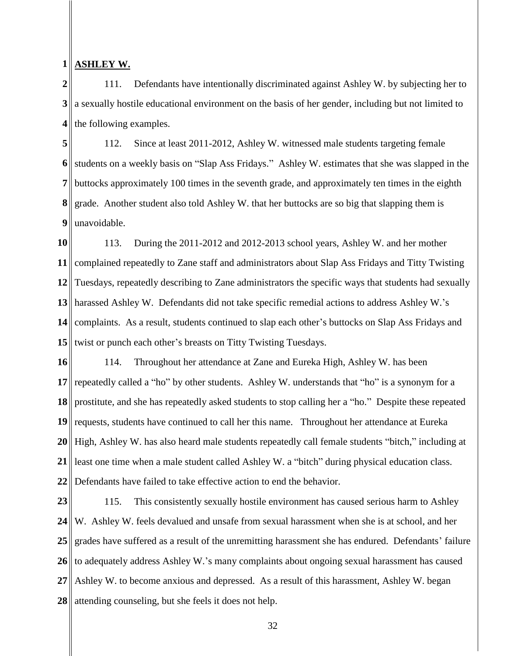#### **1 ASHLEY W.**

**2 3 4** 111. Defendants have intentionally discriminated against Ashley W. by subjecting her to a sexually hostile educational environment on the basis of her gender, including but not limited to the following examples.

**5 6 7 8 9** 112. Since at least 2011-2012, Ashley W. witnessed male students targeting female students on a weekly basis on "Slap Ass Fridays." Ashley W. estimates that she was slapped in the buttocks approximately 100 times in the seventh grade, and approximately ten times in the eighth grade. Another student also told Ashley W. that her buttocks are so big that slapping them is unavoidable.

**10 11 12 13 14 15** 113. During the 2011-2012 and 2012-2013 school years, Ashley W. and her mother complained repeatedly to Zane staff and administrators about Slap Ass Fridays and Titty Twisting Tuesdays, repeatedly describing to Zane administrators the specific ways that students had sexually harassed Ashley W. Defendants did not take specific remedial actions to address Ashley W.'s complaints. As a result, students continued to slap each other's buttocks on Slap Ass Fridays and twist or punch each other's breasts on Titty Twisting Tuesdays.

**16 17 18 19 20 21 22** 114. Throughout her attendance at Zane and Eureka High, Ashley W. has been repeatedly called a "ho" by other students. Ashley W. understands that "ho" is a synonym for a prostitute, and she has repeatedly asked students to stop calling her a "ho." Despite these repeated requests, students have continued to call her this name. Throughout her attendance at Eureka High, Ashley W. has also heard male students repeatedly call female students "bitch," including at least one time when a male student called Ashley W. a "bitch" during physical education class. Defendants have failed to take effective action to end the behavior.

**23 24 25 26 27 28**  115. This consistently sexually hostile environment has caused serious harm to Ashley W. Ashley W. feels devalued and unsafe from sexual harassment when she is at school, and her grades have suffered as a result of the unremitting harassment she has endured. Defendants' failure to adequately address Ashley W.'s many complaints about ongoing sexual harassment has caused Ashley W. to become anxious and depressed. As a result of this harassment, Ashley W. began attending counseling, but she feels it does not help.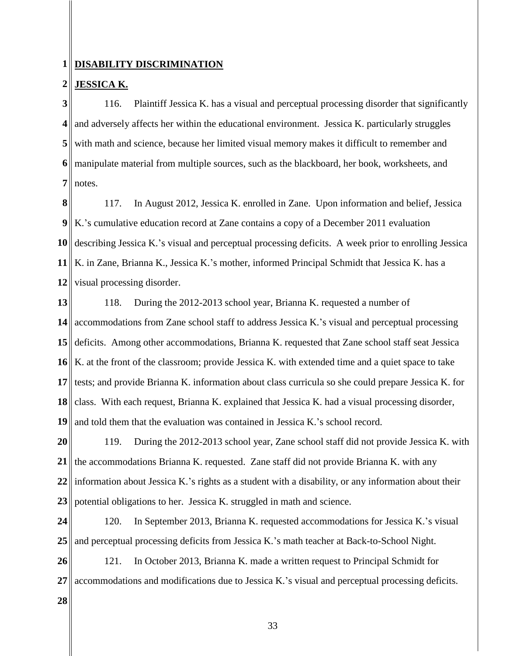#### **1 DISABILITY DISCRIMINATION**

#### **2 JESSICA K.**

**3 4 5 6 7**  116. Plaintiff Jessica K. has a visual and perceptual processing disorder that significantly and adversely affects her within the educational environment. Jessica K. particularly struggles with math and science, because her limited visual memory makes it difficult to remember and manipulate material from multiple sources, such as the blackboard, her book, worksheets, and notes.

**8 9 10 11 12** 117. In August 2012, Jessica K. enrolled in Zane. Upon information and belief, Jessica K.'s cumulative education record at Zane contains a copy of a December 2011 evaluation describing Jessica K.'s visual and perceptual processing deficits. A week prior to enrolling Jessica K. in Zane, Brianna K., Jessica K.'s mother, informed Principal Schmidt that Jessica K. has a visual processing disorder.

**13 14 15 16 17 18 19** 118. During the 2012-2013 school year, Brianna K. requested a number of accommodations from Zane school staff to address Jessica K.'s visual and perceptual processing deficits. Among other accommodations, Brianna K. requested that Zane school staff seat Jessica K. at the front of the classroom; provide Jessica K. with extended time and a quiet space to take tests; and provide Brianna K. information about class curricula so she could prepare Jessica K. for class. With each request, Brianna K. explained that Jessica K. had a visual processing disorder, and told them that the evaluation was contained in Jessica K.'s school record.

**20 21 22 23** 119. During the 2012-2013 school year, Zane school staff did not provide Jessica K. with the accommodations Brianna K. requested. Zane staff did not provide Brianna K. with any information about Jessica K.'s rights as a student with a disability, or any information about their potential obligations to her. Jessica K. struggled in math and science.

**24 25** 120. In September 2013, Brianna K. requested accommodations for Jessica K.'s visual and perceptual processing deficits from Jessica K.'s math teacher at Back-to-School Night.

**26 27** 121. In October 2013, Brianna K. made a written request to Principal Schmidt for accommodations and modifications due to Jessica K.'s visual and perceptual processing deficits.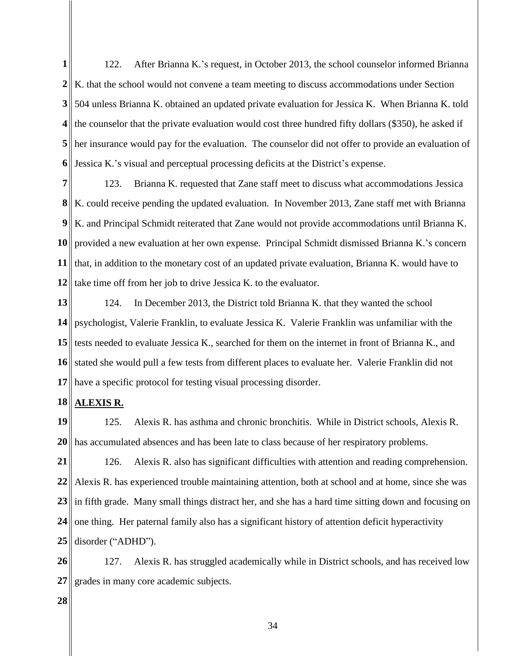**1** 2<sup>|</sup>| K. that the school would not convene a team meeting to discuss accommodations under Section **3 4 5 6** 122. After Brianna K.'s request, in October 2013, the school counselor informed Brianna 504 unless Brianna K. obtained an updated private evaluation for Jessica K. When Brianna K. told the counselor that the private evaluation would cost three hundred fifty dollars (\$350), he asked if her insurance would pay for the evaluation. The counselor did not offer to provide an evaluation of Jessica K.'s visual and perceptual processing deficits at the District's expense.

**7 8 9 10** provided a new evaluation at her own expense. Principal Schmidt dismissed Brianna K.'s concern **11 12** 123. Brianna K. requested that Zane staff meet to discuss what accommodations Jessica K. could receive pending the updated evaluation. In November 2013, Zane staff met with Brianna K. and Principal Schmidt reiterated that Zane would not provide accommodations until Brianna K. that, in addition to the monetary cost of an updated private evaluation, Brianna K. would have to take time off from her job to drive Jessica K. to the evaluator.

**13 14 15 16** stated she would pull a few tests from different places to evaluate her. Valerie Franklin did not **17** 124. In December 2013, the District told Brianna K. that they wanted the school psychologist, Valerie Franklin, to evaluate Jessica K. Valerie Franklin was unfamiliar with the stests needed to evaluate Jessica K., searched for them on the internet in front of Brianna K., and have a specific protocol for testing visual processing disorder.

#### **18 ALEXIS R.**

**19 20** 125. Alexis R. has asthma and chronic bronchitis. While in District schools, Alexis R. has accumulated absences and has been late to class because of her respiratory problems.

**21 22 23 24 25** 126. Alexis R. also has significant difficulties with attention and reading comprehension. Alexis R. has experienced trouble maintaining attention, both at school and at home, since she was in fifth grade. Many small things distract her, and she has a hard time sitting down and focusing on one thing. Her paternal family also has a significant history of attention deficit hyperactivity disorder ("ADHD").

**26 27** 127. Alexis R. has struggled academically while in District schools, and has received low grades in many core academic subjects.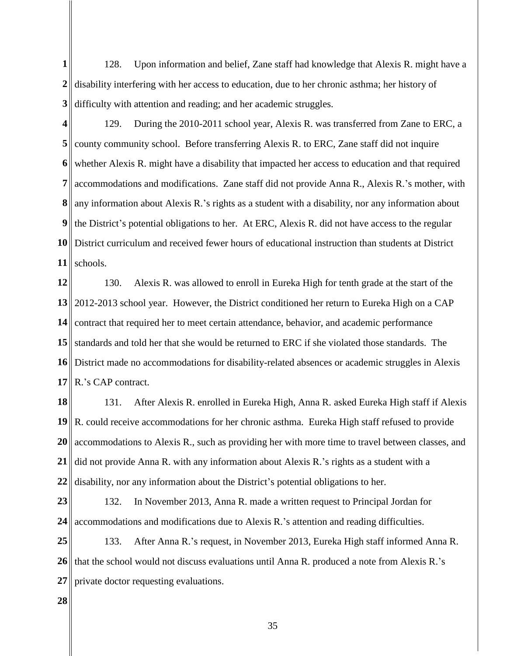**1** 2<sup>|</sup>| disability interfering with her access to education, due to her chronic asthma; her history of **3** 128. Upon information and belief, Zane staff had knowledge that Alexis R. might have a difficulty with attention and reading; and her academic struggles.

129. During the 2010-2011 school year, Alexis R. was transferred from Zane to ERC, a county community school. Before transferring Alexis R. to ERC, Zane staff did not inquire whether Alexis R. might have a disability that impacted her access to education and that required accommodations and modifications. Zane staff did not provide Anna R., Alexis R.'s mother, with

**9 10** District curriculum and received fewer hours of educational instruction than students at District **11** any information about Alexis R.'s rights as a student with a disability, nor any information about the District's potential obligations to her. At ERC, Alexis R. did not have access to the regular schools.

**12 13** 2012-2013 school year. However, the District conditioned her return to Eureka High on a CAP **14 15 16 17** 130. Alexis R. was allowed to enroll in Eureka High for tenth grade at the start of the contract that required her to meet certain attendance, behavior, and academic performance standards and told her that she would be returned to ERC if she violated those standards. The District made no accommodations for disability-related absences or academic struggles in Alexis R.'s CAP contract.

**18 19 20 21 22** 131. After Alexis R. enrolled in Eureka High, Anna R. asked Eureka High staff if Alexis R. could receive accommodations for her chronic asthma. Eureka High staff refused to provide accommodations to Alexis R., such as providing her with more time to travel between classes, and did not provide Anna R. with any information about Alexis R.'s rights as a student with a disability, nor any information about the District's potential obligations to her.

**23 24** 132. In November 2013, Anna R. made a written request to Principal Jordan for accommodations and modifications due to Alexis R.'s attention and reading difficulties.

**25 26 27** 133. After Anna R.'s request, in November 2013, Eureka High staff informed Anna R. that the school would not discuss evaluations until Anna R. produced a note from Alexis R.'s private doctor requesting evaluations.

**28** 

**4**

**5**

**6**

**7**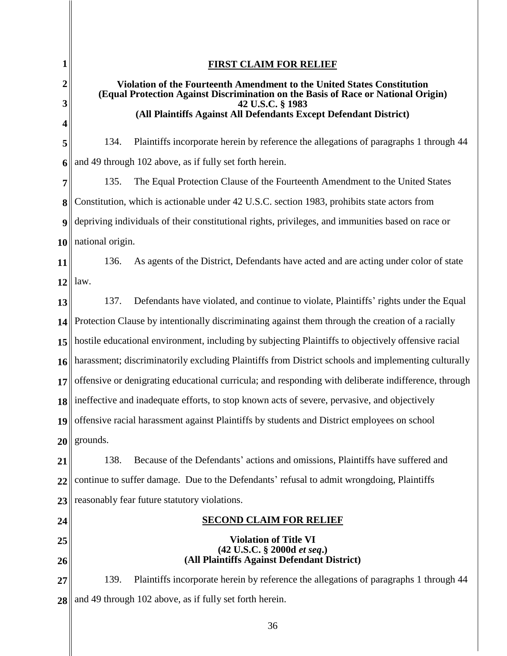| 1                | <b>FIRST CLAIM FOR RELIEF</b>                                                                         |  |
|------------------|-------------------------------------------------------------------------------------------------------|--|
| $\boldsymbol{2}$ | Violation of the Fourteenth Amendment to the United States Constitution                               |  |
| 3                | (Equal Protection Against Discrimination on the Basis of Race or National Origin)<br>42 U.S.C. § 1983 |  |
| 4                | (All Plaintiffs Against All Defendants Except Defendant District)                                     |  |
| 5                | Plaintiffs incorporate herein by reference the allegations of paragraphs 1 through 44<br>134.         |  |
| 6                | and 49 through 102 above, as if fully set forth herein.                                               |  |
| 7                | 135.<br>The Equal Protection Clause of the Fourteenth Amendment to the United States                  |  |
| 8                | Constitution, which is actionable under 42 U.S.C. section 1983, prohibits state actors from           |  |
| 9                | depriving individuals of their constitutional rights, privileges, and immunities based on race or     |  |
| 10               | national origin.                                                                                      |  |
| 11               | As agents of the District, Defendants have acted and are acting under color of state<br>136.          |  |
| 12               | law.                                                                                                  |  |
| 13               | Defendants have violated, and continue to violate, Plaintiffs' rights under the Equal<br>137.         |  |
| 14               | Protection Clause by intentionally discriminating against them through the creation of a racially     |  |
| 15               | hostile educational environment, including by subjecting Plaintiffs to objectively offensive racial   |  |
| 16               | harassment; discriminatorily excluding Plaintiffs from District schools and implementing culturally   |  |
| 17               | offensive or denigrating educational curricula; and responding with deliberate indifference, through  |  |
|                  | $\ 3\ $ ineffective and inadequate efforts, to stop known acts of severe, pervasive, and objectively  |  |
| 19               | offensive racial harassment against Plaintiffs by students and District employees on school           |  |
| 20 <sup>°</sup>  | grounds.                                                                                              |  |
| 21               | 138.<br>Because of the Defendants' actions and omissions, Plaintiffs have suffered and                |  |
| 22               | continue to suffer damage. Due to the Defendants' refusal to admit wrongdoing, Plaintiffs             |  |
| 23               | reasonably fear future statutory violations.                                                          |  |
| 24               | <b>SECOND CLAIM FOR RELIEF</b>                                                                        |  |
| 25               | <b>Violation of Title VI</b><br>(42 U.S.C. § 2000d et seq.)                                           |  |
| 26               | (All Plaintiffs Against Defendant District)                                                           |  |
| 27               | Plaintiffs incorporate herein by reference the allegations of paragraphs 1 through 44<br>139.         |  |
| 28               | and 49 through 102 above, as if fully set forth herein.                                               |  |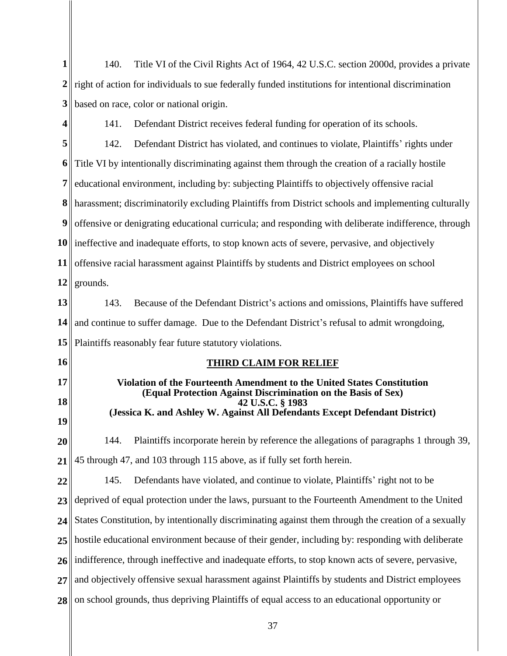**1**  $2 \parallel$  right of action for individuals to sue federally funded institutions for intentional discrimination **3** 140. Title VI of the Civil Rights Act of 1964, 42 U.S.C. section 2000d, provides a private based on race, color or national origin.

**4**

141. Defendant District receives federal funding for operation of its schools.

**5 6 7 8 9 10** ineffective and inadequate efforts, to stop known acts of severe, pervasive, and objectively **11 12** 142. Defendant District has violated, and continues to violate, Plaintiffs' rights under Title VI by intentionally discriminating against them through the creation of a racially hostile educational environment, including by: subjecting Plaintiffs to objectively offensive racial harassment; discriminatorily excluding Plaintiffs from District schools and implementing culturally offensive or denigrating educational curricula; and responding with deliberate indifference, through offensive racial harassment against Plaintiffs by students and District employees on school grounds.

**13 14 15** 143. Because of the Defendant District's actions and omissions, Plaintiffs have suffered and continue to suffer damage. Due to the Defendant District's refusal to admit wrongdoing, Plaintiffs reasonably fear future statutory violations.

- **16**
- **17**
- 

**18**

**19**

# **THIRD CLAIM FOR RELIEF**

# **Violation of the Fourteenth Amendment to the United States Constitution (Equal Protection Against Discrimination on the Basis of Sex) 42 U.S.C. § 1983 (Jessica K. and Ashley W. Against All Defendants Except Defendant District)**

**20 21** 144. Plaintiffs incorporate herein by reference the allegations of paragraphs 1 through 39, 45 through 47, and 103 through 115 above, as if fully set forth herein.

**22 23 24 25 26 27 28**  145. Defendants have violated, and continue to violate, Plaintiffs' right not to be deprived of equal protection under the laws, pursuant to the Fourteenth Amendment to the United States Constitution, by intentionally discriminating against them through the creation of a sexually hostile educational environment because of their gender, including by: responding with deliberate indifference, through ineffective and inadequate efforts, to stop known acts of severe, pervasive, and objectively offensive sexual harassment against Plaintiffs by students and District employees on school grounds, thus depriving Plaintiffs of equal access to an educational opportunity or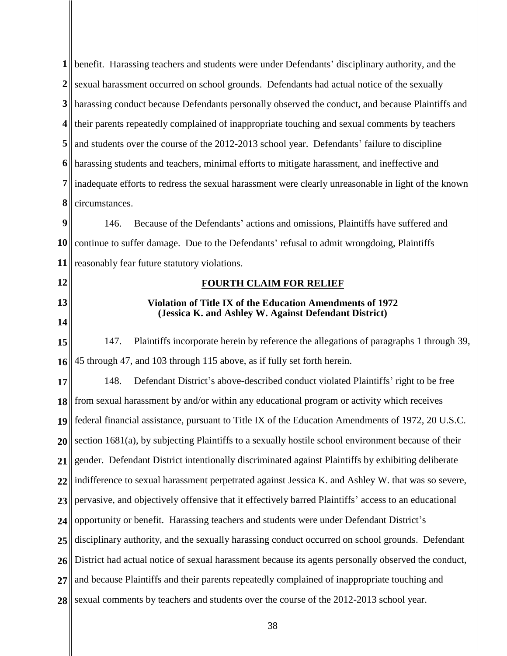| $\mathbf{1}$     | benefit. Harassing teachers and students were under Defendants' disciplinary authority, and the        |  |
|------------------|--------------------------------------------------------------------------------------------------------|--|
| $\boldsymbol{2}$ | sexual harassment occurred on school grounds. Defendants had actual notice of the sexually             |  |
| 3                | harassing conduct because Defendants personally observed the conduct, and because Plaintiffs and       |  |
| 4                | their parents repeatedly complained of inappropriate touching and sexual comments by teachers          |  |
| 5                | and students over the course of the 2012-2013 school year. Defendants' failure to discipline           |  |
| 6                | harassing students and teachers, minimal efforts to mitigate harassment, and ineffective and           |  |
| 7                | inadequate efforts to redress the sexual harassment were clearly unreasonable in light of the known    |  |
| 8                | circumstances.                                                                                         |  |
| 9                | Because of the Defendants' actions and omissions, Plaintiffs have suffered and<br>146.                 |  |
| <b>10</b>        | continue to suffer damage. Due to the Defendants' refusal to admit wrongdoing, Plaintiffs              |  |
| 11               | reasonably fear future statutory violations.                                                           |  |
| 12               | <b>FOURTH CLAIM FOR RELIEF</b>                                                                         |  |
| 13               | Violation of Title IX of the Education Amendments of 1972                                              |  |
| 14               | (Jessica K. and Ashley W. Against Defendant District)                                                  |  |
| 15               | Plaintiffs incorporate herein by reference the allegations of paragraphs 1 through 39,<br>147.         |  |
| 16               | 45 through 47, and 103 through 115 above, as if fully set forth herein.                                |  |
| 17               | 148.<br>Defendant District's above-described conduct violated Plaintiffs' right to be free             |  |
| 18               | from sexual harassment by and/or within any educational program or activity which receives             |  |
|                  | 19   federal financial assistance, pursuant to Title IX of the Education Amendments of 1972, 20 U.S.C. |  |
| 20               | section 1681(a), by subjecting Plaintiffs to a sexually hostile school environment because of their    |  |
| 21               | gender. Defendant District intentionally discriminated against Plaintiffs by exhibiting deliberate     |  |
| 22               | indifference to sexual harassment perpetrated against Jessica K. and Ashley W. that was so severe,     |  |
| 23               | pervasive, and objectively offensive that it effectively barred Plaintiffs' access to an educational   |  |
| 24               | opportunity or benefit. Harassing teachers and students were under Defendant District's                |  |
| 25               | disciplinary authority, and the sexually harassing conduct occurred on school grounds. Defendant       |  |
| 26               | District had actual notice of sexual harassment because its agents personally observed the conduct,    |  |
| 27               | and because Plaintiffs and their parents repeatedly complained of inappropriate touching and           |  |
| 28               | sexual comments by teachers and students over the course of the 2012-2013 school year.                 |  |

II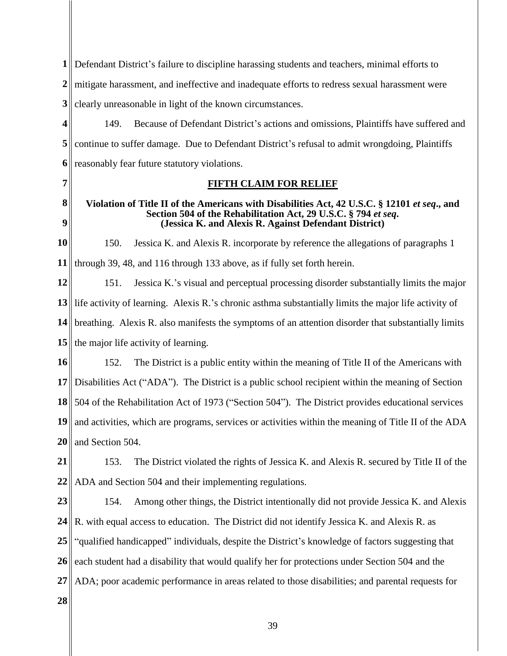**1** Defendant District's failure to discipline harassing students and teachers, minimal efforts to 2<sup> $\parallel$ </sup> mitigate harassment, and ineffective and inadequate efforts to redress sexual harassment were

**3** clearly unreasonable in light of the known circumstances.

**4 5 6** 149. Because of Defendant District's actions and omissions, Plaintiffs have suffered and continue to suffer damage. Due to Defendant District's refusal to admit wrongdoing, Plaintiffs reasonably fear future statutory violations.

**7** 

# **FIFTH CLAIM FOR RELIEF**

### **8 9 Violation of Title II of the Americans with Disabilities Act, 42 U.S.C. § 12101** *et seq***., and Section 504 of the Rehabilitation Act, 29 U.S.C. § 794** *et seq***. (Jessica K. and Alexis R. Against Defendant District)**

**10 11** 150. Jessica K. and Alexis R. incorporate by reference the allegations of paragraphs 1 through 39, 48, and 116 through 133 above, as if fully set forth herein.

**12 13** life activity of learning. Alexis R.'s chronic asthma substantially limits the major life activity of **14 15** 151. Jessica K.'s visual and perceptual processing disorder substantially limits the major breathing. Alexis R. also manifests the symptoms of an attention disorder that substantially limits  $\parallel$  the major life activity of learning.

**16 17** Disabilities Act ("ADA"). The District is a public school recipient within the meaning of Section **18 19** and activities, which are programs, services or activities within the meaning of Title II of the ADA **20** 152. The District is a public entity within the meaning of Title II of the Americans with 504 of the Rehabilitation Act of 1973 ("Section 504"). The District provides educational services and Section 504.

**21 22** 153. The District violated the rights of Jessica K. and Alexis R. secured by Title II of the ADA and Section 504 and their implementing regulations.

**23 24 25 26 27** 154. Among other things, the District intentionally did not provide Jessica K. and Alexis R. with equal access to education. The District did not identify Jessica K. and Alexis R. as "qualified handicapped" individuals, despite the District's knowledge of factors suggesting that each student had a disability that would qualify her for protections under Section 504 and the ADA; poor academic performance in areas related to those disabilities; and parental requests for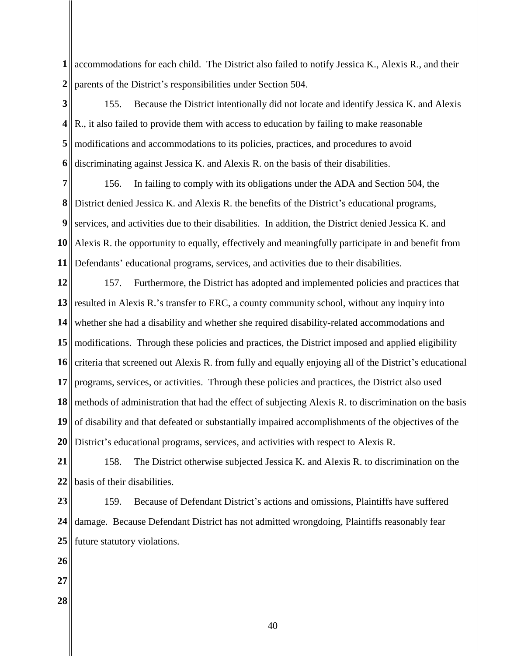accommodations for each child. The District also failed to notify Jessica K., Alexis R., and their parents of the District's responsibilities under Section 504.

 155. Because the District intentionally did not locate and identify Jessica K. and Alexis  $\mathbb{R}$ , it also failed to provide them with access to education by failing to make reasonable modifications and accommodations to its policies, practices, and procedures to avoid discriminating against Jessica K. and Alexis R. on the basis of their disabilities.

 Alexis R. the opportunity to equally, effectively and meaningfully participate in and benefit from 156. In failing to comply with its obligations under the ADA and Section 504, the District denied Jessica K. and Alexis R. the benefits of the District's educational programs, services, and activities due to their disabilities. In addition, the District denied Jessica K. and Defendants' educational programs, services, and activities due to their disabilities.

 resulted in Alexis R.'s transfer to ERC, a county community school, without any inquiry into || modifications. Through these policies and practices, the District imposed and applied eligibility criteria that screened out Alexis R. from fully and equally enjoying all of the District's educational methods of administration that had the effect of subjecting Alexis R. to discrimination on the basis 157. Furthermore, the District has adopted and implemented policies and practices that whether she had a disability and whether she required disability-related accommodations and programs, services, or activities. Through these policies and practices, the District also used of disability and that defeated or substantially impaired accomplishments of the objectives of the District's educational programs, services, and activities with respect to Alexis R.

 158. The District otherwise subjected Jessica K. and Alexis R. to discrimination on the basis of their disabilities.

 159. Because of Defendant District's actions and omissions, Plaintiffs have suffered damage. Because Defendant District has not admitted wrongdoing, Plaintiffs reasonably fear future statutory violations.

- 
- 
-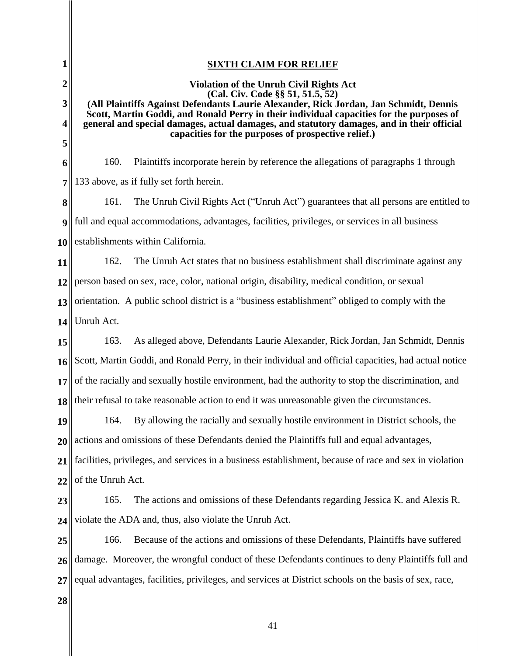| 1                | <b>SIXTH CLAIM FOR RELIEF</b>                                                                                                                                                                                                                                                                                      |  |
|------------------|--------------------------------------------------------------------------------------------------------------------------------------------------------------------------------------------------------------------------------------------------------------------------------------------------------------------|--|
| $\overline{2}$   | <b>Violation of the Unruh Civil Rights Act</b>                                                                                                                                                                                                                                                                     |  |
| 3                | (Cal. Civ. Code §§ 51, 51.5, 52)<br>(All Plaintiffs Against Defendants Laurie Alexander, Rick Jordan, Jan Schmidt, Dennis<br>Scott, Martin Goddi, and Ronald Perry in their individual capacities for the purposes of<br>general and special damages, actual damages, and statutory damages, and in their official |  |
| 4                |                                                                                                                                                                                                                                                                                                                    |  |
| 5                | capacities for the purposes of prospective relief.)                                                                                                                                                                                                                                                                |  |
| 6                | 160.<br>Plaintiffs incorporate herein by reference the allegations of paragraphs 1 through                                                                                                                                                                                                                         |  |
| 7                | 133 above, as if fully set forth herein.                                                                                                                                                                                                                                                                           |  |
| 8                | The Unruh Civil Rights Act ("Unruh Act") guarantees that all persons are entitled to<br>161.                                                                                                                                                                                                                       |  |
| 9                | full and equal accommodations, advantages, facilities, privileges, or services in all business                                                                                                                                                                                                                     |  |
| 10               | establishments within California.                                                                                                                                                                                                                                                                                  |  |
| 11               | 162.<br>The Unruh Act states that no business establishment shall discriminate against any                                                                                                                                                                                                                         |  |
| 12               | person based on sex, race, color, national origin, disability, medical condition, or sexual                                                                                                                                                                                                                        |  |
| 13               | orientation. A public school district is a "business establishment" obliged to comply with the                                                                                                                                                                                                                     |  |
| 14               | Unruh Act.                                                                                                                                                                                                                                                                                                         |  |
| 15               | 163.<br>As alleged above, Defendants Laurie Alexander, Rick Jordan, Jan Schmidt, Dennis                                                                                                                                                                                                                            |  |
| 16               | Scott, Martin Goddi, and Ronald Perry, in their individual and official capacities, had actual notice                                                                                                                                                                                                              |  |
| 17 <sup>  </sup> | of the racially and sexually hostile environment, had the authority to stop the discrimination, and                                                                                                                                                                                                                |  |
| 18               | their refusal to take reasonable action to end it was unreasonable given the circumstances.                                                                                                                                                                                                                        |  |
| 19               | By allowing the racially and sexually hostile environment in District schools, the<br>164.                                                                                                                                                                                                                         |  |
| 20               | actions and omissions of these Defendants denied the Plaintiffs full and equal advantages,                                                                                                                                                                                                                         |  |
| 21               | facilities, privileges, and services in a business establishment, because of race and sex in violation                                                                                                                                                                                                             |  |
| 22               | of the Unruh Act.                                                                                                                                                                                                                                                                                                  |  |
| 23               | The actions and omissions of these Defendants regarding Jessica K. and Alexis R.<br>165.                                                                                                                                                                                                                           |  |
| 24               | violate the ADA and, thus, also violate the Unruh Act.                                                                                                                                                                                                                                                             |  |
| 25               | Because of the actions and omissions of these Defendants, Plaintiffs have suffered<br>166.                                                                                                                                                                                                                         |  |
| 26               | damage. Moreover, the wrongful conduct of these Defendants continues to deny Plaintiffs full and                                                                                                                                                                                                                   |  |
| 27               | equal advantages, facilities, privileges, and services at District schools on the basis of sex, race,                                                                                                                                                                                                              |  |
| 28               |                                                                                                                                                                                                                                                                                                                    |  |
|                  | 41                                                                                                                                                                                                                                                                                                                 |  |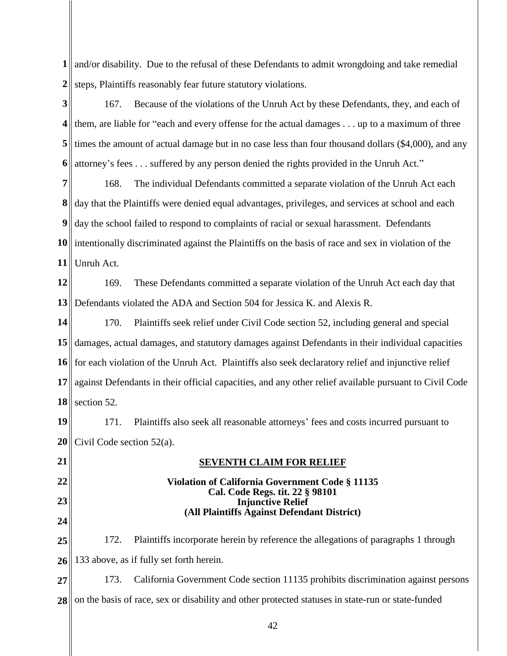**1** and/or disability. Due to the refusal of these Defendants to admit wrongdoing and take remedial **2** steps, Plaintiffs reasonably fear future statutory violations.

**3 4 5 6** 167. Because of the violations of the Unruh Act by these Defendants, they, and each of them, are liable for "each and every offense for the actual damages  $\dots$  up to a maximum of three times the amount of actual damage but in no case less than four thousand dollars (\$4,000), and any attorney's fees . . . suffered by any person denied the rights provided in the Unruh Act."

**7 8 9 10** intentionally discriminated against the Plaintiffs on the basis of race and sex in violation of the **11** 168. The individual Defendants committed a separate violation of the Unruh Act each day that the Plaintiffs were denied equal advantages, privileges, and services at school and each day the school failed to respond to complaints of racial or sexual harassment. Defendants Unruh Act.

**12 13** 169. These Defendants committed a separate violation of the Unruh Act each day that Defendants violated the ADA and Section 504 for Jessica K. and Alexis R.

**14 15 16 17 18** 170. Plaintiffs seek relief under Civil Code section 52, including general and special damages, actual damages, and statutory damages against Defendants in their individual capacities for each violation of the Unruh Act. Plaintiffs also seek declaratory relief and injunctive relief against Defendants in their official capacities, and any other relief available pursuant to Civil Code section 52.

**19 20** 171. Plaintiffs also seek all reasonable attorneys' fees and costs incurred pursuant to Civil Code section 52(a).

**21 22 23 24 25 26 27 SEVENTH CLAIM FOR RELIEF Violation of California Government Code § 11135 Cal. Code Regs. tit. 22 § 98101 Injunctive Relief (All Plaintiffs Against Defendant District)** 172. Plaintiffs incorporate herein by reference the allegations of paragraphs 1 through 133 above, as if fully set forth herein. 173. California Government Code section 11135 prohibits discrimination against persons

**28**  on the basis of race, sex or disability and other protected statuses in state-run or state-funded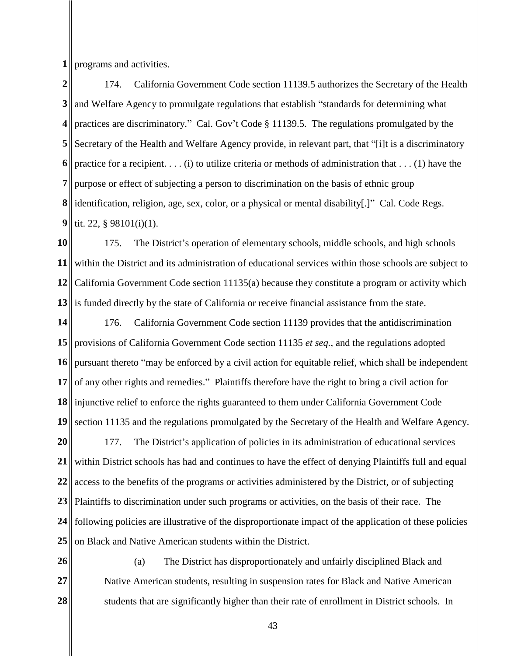**1** programs and activities.

**2 3 4 5 6 7 8 9** 174. California Government Code section 11139.5 authorizes the Secretary of the Health and Welfare Agency to promulgate regulations that establish "standards for determining what practices are discriminatory." Cal. Gov't Code § 11139.5. The regulations promulgated by the Secretary of the Health and Welfare Agency provide, in relevant part, that "[i]t is a discriminatory practice for a recipient.  $\dots$  (i) to utilize criteria or methods of administration that  $\dots$  (1) have the purpose or effect of subjecting a person to discrimination on the basis of ethnic group identification, religion, age, sex, color, or a physical or mental disability[.]" Cal. Code Regs. tit. 22, § 98101(i)(1).

**10 11 12** California Government Code section 11135(a) because they constitute a program or activity which **13** 175. The District's operation of elementary schools, middle schools, and high schools within the District and its administration of educational services within those schools are subject to  $\parallel$  is funded directly by the state of California or receive financial assistance from the state.

**14 15 16 17 18** injunctive relief to enforce the rights guaranteed to them under California Government Code **19** 176. California Government Code section 11139 provides that the antidiscrimination provisions of California Government Code section 11135 *et seq.*, and the regulations adopted pursuant thereto "may be enforced by a civil action for equitable relief, which shall be independent of any other rights and remedies." Plaintiffs therefore have the right to bring a civil action for section 11135 and the regulations promulgated by the Secretary of the Health and Welfare Agency.

**20 21 22 23** Plaintiffs to discrimination under such programs or activities, on the basis of their race. The **24 25** 177. The District's application of policies in its administration of educational services within District schools has had and continues to have the effect of denying Plaintiffs full and equal access to the benefits of the programs or activities administered by the District, or of subjecting following policies are illustrative of the disproportionate impact of the application of these policies on Black and Native American students within the District.

**26 27 28**  (a) The District has disproportionately and unfairly disciplined Black and Native American students, resulting in suspension rates for Black and Native American students that are significantly higher than their rate of enrollment in District schools. In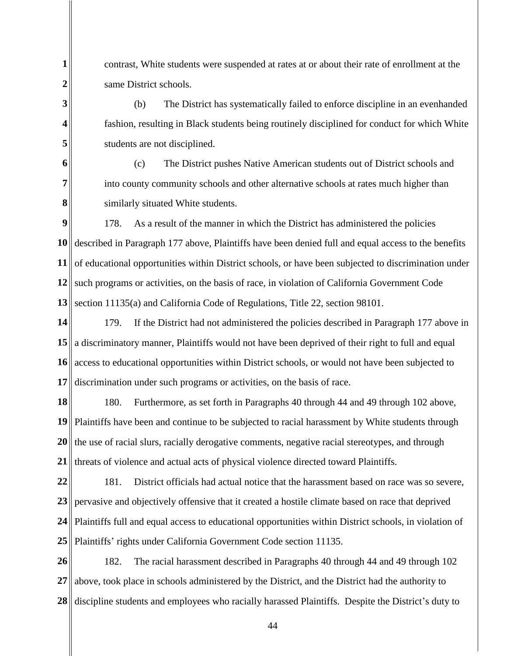contrast, White students were suspended at rates at or about their rate of enrollment at the same District schools.

**1**

**2**

**3**

**4**

**5**

**6**

**7** 

**8**

(b) The District has systematically failed to enforce discipline in an evenhanded fashion, resulting in Black students being routinely disciplined for conduct for which White students are not disciplined.

(c) The District pushes Native American students out of District schools and into county community schools and other alternative schools at rates much higher than similarly situated White students.

**9 10** described in Paragraph 177 above, Plaintiffs have been denied full and equal access to the benefits **11** 12 such programs or activities, on the basis of race, in violation of California Government Code **13** 178. As a result of the manner in which the District has administered the policies of educational opportunities within District schools, or have been subjected to discrimination under section 11135(a) and California Code of Regulations, Title 22, section 98101.

**14 15** a discriminatory manner, Plaintiffs would not have been deprived of their right to full and equal **16 17** 179. If the District had not administered the policies described in Paragraph 177 above in access to educational opportunities within District schools, or would not have been subjected to discrimination under such programs or activities, on the basis of race.

**18 19 20 21** 180. Furthermore, as set forth in Paragraphs 40 through 44 and 49 through 102 above, Plaintiffs have been and continue to be subjected to racial harassment by White students through the use of racial slurs, racially derogative comments, negative racial stereotypes, and through threats of violence and actual acts of physical violence directed toward Plaintiffs.

**22 23 24 25** 181. District officials had actual notice that the harassment based on race was so severe, pervasive and objectively offensive that it created a hostile climate based on race that deprived Plaintiffs full and equal access to educational opportunities within District schools, in violation of Plaintiffs' rights under California Government Code section 11135.

**26 27 28**  182. The racial harassment described in Paragraphs 40 through 44 and 49 through 102 above, took place in schools administered by the District, and the District had the authority to discipline students and employees who racially harassed Plaintiffs. Despite the District's duty to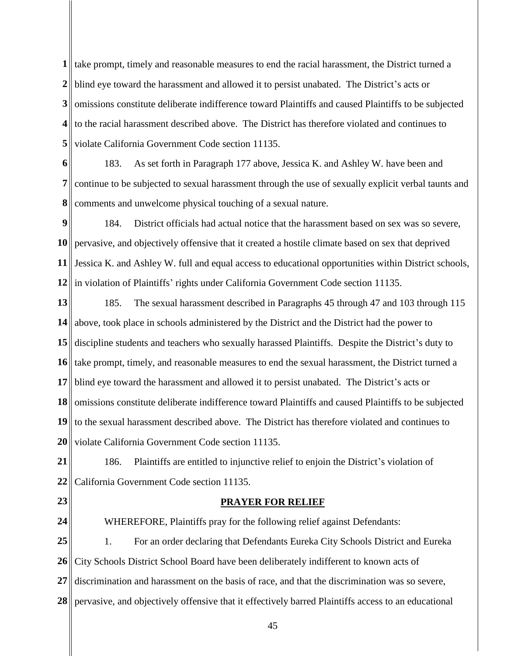**1** ake prompt, timely and reasonable measures to end the racial harassment, the District turned a 2<sup>|</sup>| blind eye toward the harassment and allowed it to persist unabated. The District's acts or **3 4** to the racial harassment described above. The District has therefore violated and continues to **5** omissions constitute deliberate indifference toward Plaintiffs and caused Plaintiffs to be subjected violate California Government Code section 11135.

**6 7 8** 183. As set forth in Paragraph 177 above, Jessica K. and Ashley W. have been and continue to be subjected to sexual harassment through the use of sexually explicit verbal taunts and comments and unwelcome physical touching of a sexual nature.

**9 10** pervasive, and objectively offensive that it created a hostile climate based on sex that deprived 11 Jessica K. and Ashley W. full and equal access to educational opportunities within District schools, **12** in violation of Plaintiffs' rights under California Government Code section 11135. 184. District officials had actual notice that the harassment based on sex was so severe,

**13 14** above, took place in schools administered by the District and the District had the power to **15** discipline students and teachers who sexually harassed Plaintiffs. Despite the District's duty to **16** take prompt, timely, and reasonable measures to end the sexual harassment, the District turned a **17 18 19 20** 185. The sexual harassment described in Paragraphs 45 through 47 and 103 through 115 blind eye toward the harassment and allowed it to persist unabated. The District's acts or omissions constitute deliberate indifference toward Plaintiffs and caused Plaintiffs to be subjected  $\parallel$  to the sexual harassment described above. The District has therefore violated and continues to violate California Government Code section 11135.

**21 22** 186. Plaintiffs are entitled to injunctive relief to enjoin the District's violation of California Government Code section 11135.

**23**

## **PRAYER FOR RELIEF**

**24 25 26 27 28**  WHEREFORE, Plaintiffs pray for the following relief against Defendants: 1. For an order declaring that Defendants Eureka City Schools District and Eureka City Schools District School Board have been deliberately indifferent to known acts of discrimination and harassment on the basis of race, and that the discrimination was so severe, pervasive, and objectively offensive that it effectively barred Plaintiffs access to an educational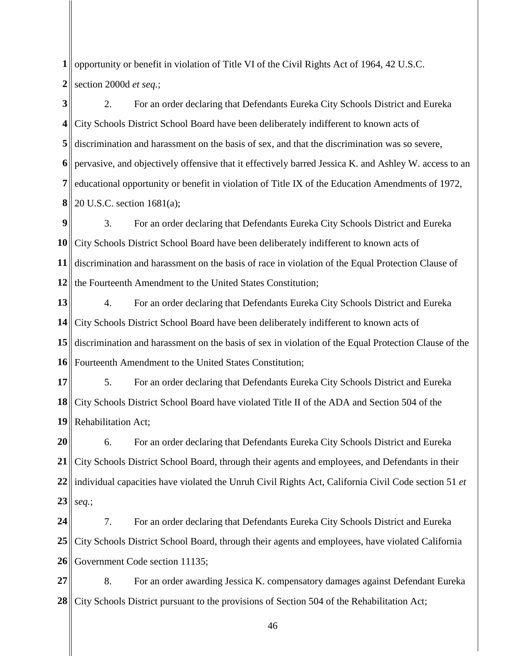opportunity or benefit in violation of Title VI of the Civil Rights Act of 1964, 42 U.S.C. section 2000d *et seq.*;

 discrimination and harassment on the basis of sex, and that the discrimination was so severe, 20 U.S.C. section 1681(a); 2. For an order declaring that Defendants Eureka City Schools District and Eureka City Schools District School Board have been deliberately indifferent to known acts of pervasive, and objectively offensive that it effectively barred Jessica K. and Ashley W. access to an educational opportunity or benefit in violation of Title IX of the Education Amendments of 1972,

 City Schools District School Board have been deliberately indifferent to known acts of discrimination and harassment on the basis of race in violation of the Equal Protection Clause of the Fourteenth Amendment to the United States Constitution; 3. For an order declaring that Defendants Eureka City Schools District and Eureka

 discrimination and harassment on the basis of sex in violation of the Equal Protection Clause of the Fourteenth Amendment to the United States Constitution; 4. For an order declaring that Defendants Eureka City Schools District and Eureka City Schools District School Board have been deliberately indifferent to known acts of

 5. For an order declaring that Defendants Eureka City Schools District and Eureka City Schools District School Board have violated Title II of the ADA and Section 504 of the Rehabilitation Act;

 individual capacities have violated the Unruh Civil Rights Act, California Civil Code section 51 *et seq.*; 6. For an order declaring that Defendants Eureka City Schools District and Eureka City Schools District School Board, through their agents and employees, and Defendants in their

 7. For an order declaring that Defendants Eureka City Schools District and Eureka City Schools District School Board, through their agents and employees, have violated California Government Code section 11135;

 8. For an order awarding Jessica K. compensatory damages against Defendant Eureka City Schools District pursuant to the provisions of Section 504 of the Rehabilitation Act;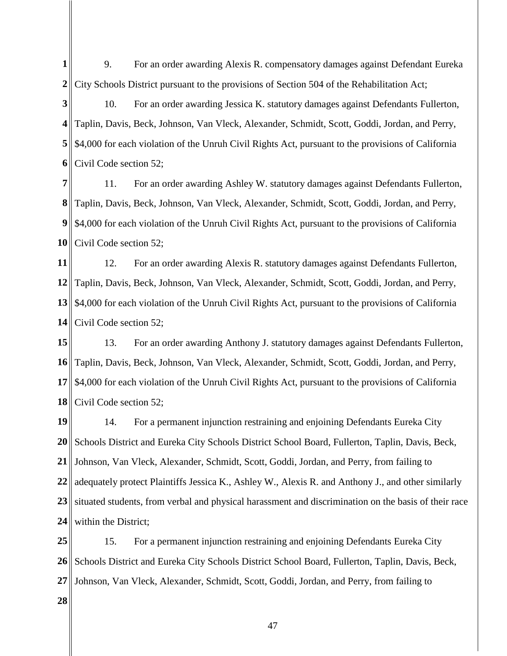**1 2** 9. For an order awarding Alexis R. compensatory damages against Defendant Eureka City Schools District pursuant to the provisions of Section 504 of the Rehabilitation Act;

**3 4 5** \$4,000 for each violation of the Unruh Civil Rights Act, pursuant to the provisions of California **6** 10. For an order awarding Jessica K. statutory damages against Defendants Fullerton, Taplin, Davis, Beck, Johnson, Van Vleck, Alexander, Schmidt, Scott, Goddi, Jordan, and Perry, Civil Code section 52;

**7 8 9** \$4,000 for each violation of the Unruh Civil Rights Act, pursuant to the provisions of California **10** 11. For an order awarding Ashley W. statutory damages against Defendants Fullerton, Taplin, Davis, Beck, Johnson, Van Vleck, Alexander, Schmidt, Scott, Goddi, Jordan, and Perry, Civil Code section 52;

**11 12** Taplin, Davis, Beck, Johnson, Van Vleck, Alexander, Schmidt, Scott, Goddi, Jordan, and Perry, **13 14** 12. For an order awarding Alexis R. statutory damages against Defendants Fullerton, \$4,000 for each violation of the Unruh Civil Rights Act, pursuant to the provisions of California Civil Code section 52;

**15 16** Taplin, Davis, Beck, Johnson, Van Vleck, Alexander, Schmidt, Scott, Goddi, Jordan, and Perry, **17 18** 13. For an order awarding Anthony J. statutory damages against Defendants Fullerton, \$4,000 for each violation of the Unruh Civil Rights Act, pursuant to the provisions of California Civil Code section 52;

**19 20 21 22 23 24** 14. For a permanent injunction restraining and enjoining Defendants Eureka City Schools District and Eureka City Schools District School Board, Fullerton, Taplin, Davis, Beck, Johnson, Van Vleck, Alexander, Schmidt, Scott, Goddi, Jordan, and Perry, from failing to adequately protect Plaintiffs Jessica K., Ashley W., Alexis R. and Anthony J., and other similarly situated students, from verbal and physical harassment and discrimination on the basis of their race within the District;

**25 26 27** 15. For a permanent injunction restraining and enjoining Defendants Eureka City Schools District and Eureka City Schools District School Board, Fullerton, Taplin, Davis, Beck, Johnson, Van Vleck, Alexander, Schmidt, Scott, Goddi, Jordan, and Perry, from failing to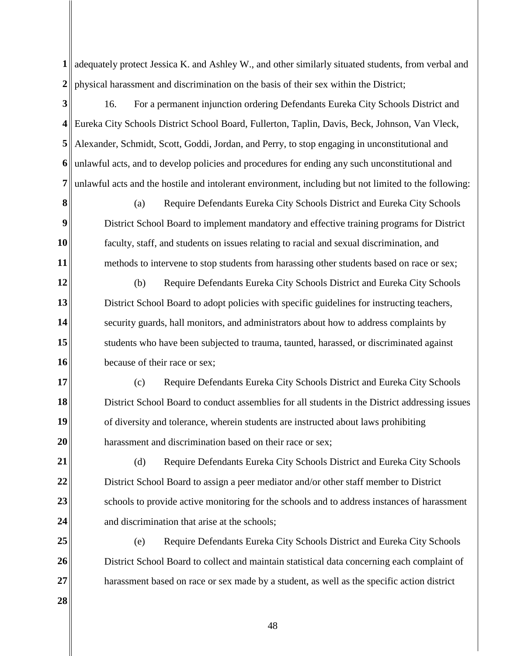**1** adequately protect Jessica K. and Ashley W., and other similarly situated students, from verbal and **2** physical harassment and discrimination on the basis of their sex within the District;

**3 4** Eureka City Schools District School Board, Fullerton, Taplin, Davis, Beck, Johnson, Van Vleck, **5 6 7**  16. For a permanent injunction ordering Defendants Eureka City Schools District and Alexander, Schmidt, Scott, Goddi, Jordan, and Perry, to stop engaging in unconstitutional and unlawful acts, and to develop policies and procedures for ending any such unconstitutional and unlawful acts and the hostile and intolerant environment, including but not limited to the following:

**8**

**9**

**10**

**11**

(a) Require Defendants Eureka City Schools District and Eureka City Schools District School Board to implement mandatory and effective training programs for District faculty, staff, and students on issues relating to racial and sexual discrimination, and methods to intervene to stop students from harassing other students based on race or sex;

**12 13 14 15 16** (b) Require Defendants Eureka City Schools District and Eureka City Schools District School Board to adopt policies with specific guidelines for instructing teachers, security guards, hall monitors, and administrators about how to address complaints by students who have been subjected to trauma, taunted, harassed, or discriminated against because of their race or sex;

**17 18 19 20** (c) Require Defendants Eureka City Schools District and Eureka City Schools District School Board to conduct assemblies for all students in the District addressing issues of diversity and tolerance, wherein students are instructed about laws prohibiting harassment and discrimination based on their race or sex;

**21 22 23 24** (d) Require Defendants Eureka City Schools District and Eureka City Schools District School Board to assign a peer mediator and/or other staff member to District schools to provide active monitoring for the schools and to address instances of harassment and discrimination that arise at the schools;

**25 26 27** (e) Require Defendants Eureka City Schools District and Eureka City Schools District School Board to collect and maintain statistical data concerning each complaint of harassment based on race or sex made by a student, as well as the specific action district